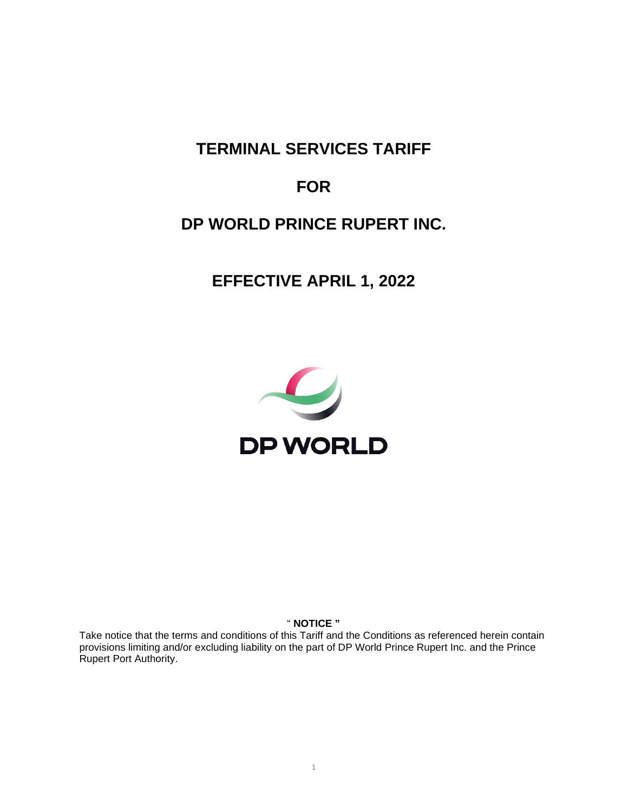**TERMINAL SERVICES TARIFF**

# **FOR**

# **DP WORLD PRINCE RUPERT INC.**

**EFFECTIVE APRIL 1, 2022**



" **NOTICE "**

Take notice that the terms and conditions of this Tariff and the Conditions as referenced herein contain provisions limiting and/or excluding liability on the part of DP World Prince Rupert Inc. and the Prince Rupert Port Authority.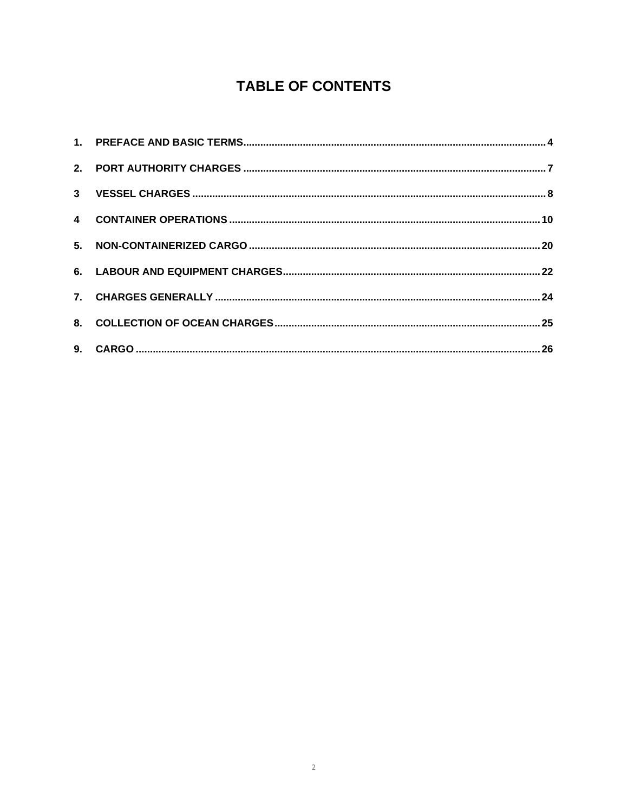# **TABLE OF CONTENTS**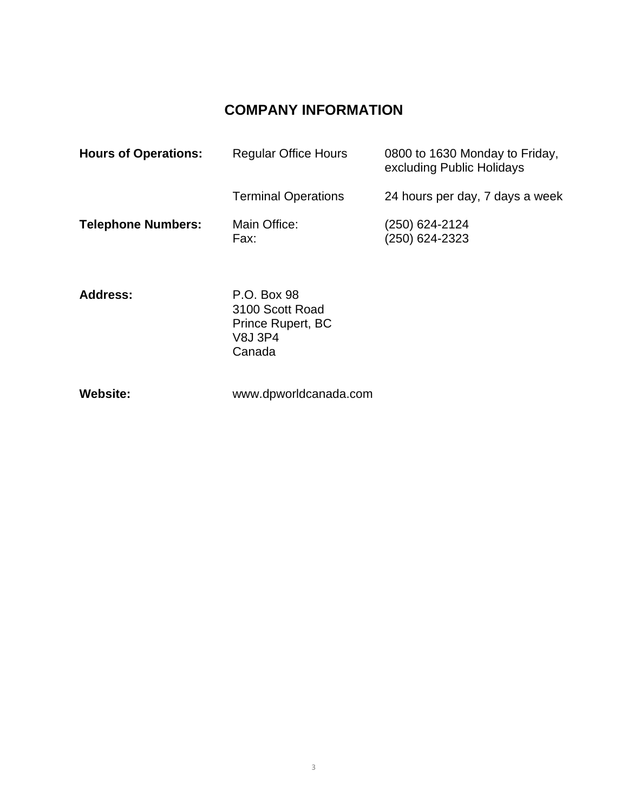# **COMPANY INFORMATION**

| <b>Hours of Operations:</b> | <b>Regular Office Hours</b>                                    | 0800 to 1630 Monday to Friday,<br>excluding Public Holidays |
|-----------------------------|----------------------------------------------------------------|-------------------------------------------------------------|
|                             | <b>Terminal Operations</b>                                     | 24 hours per day, 7 days a week                             |
| <b>Telephone Numbers:</b>   | Main Office:<br>Fax:                                           | (250) 624-2124<br>(250) 624-2323                            |
| <b>Address:</b>             | P.O. Box 98<br>3100 Scott Road<br>Prince Rupert, BC<br>V8J 3P4 |                                                             |

**Website:** www.dpworldcanada.com

Canada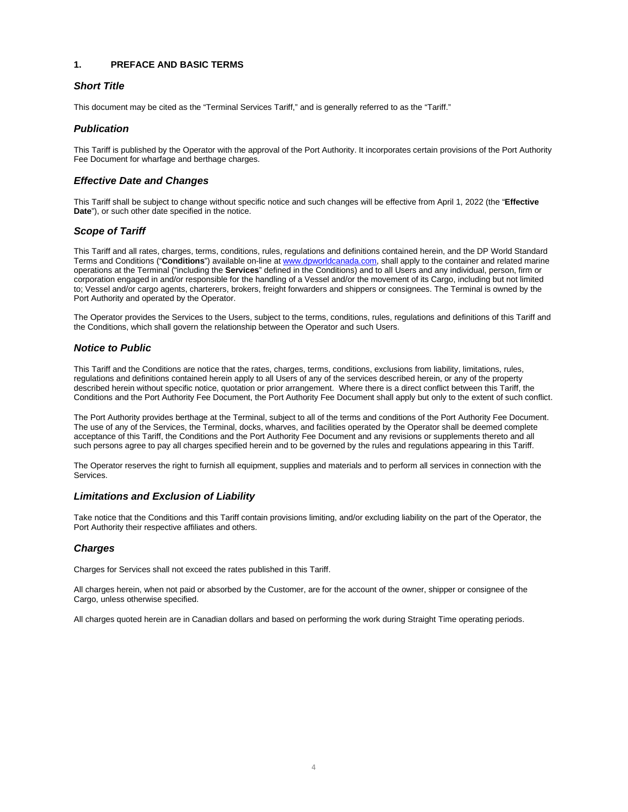# <span id="page-3-0"></span>**1. PREFACE AND BASIC TERMS**

# *Short Title*

This document may be cited as the "Terminal Services Tariff," and is generally referred to as the "Tariff."

# *Publication*

This Tariff is published by the Operator with the approval of the Port Authority. It incorporates certain provisions of the Port Authority Fee Document for wharfage and berthage charges.

# *Effective Date and Changes*

This Tariff shall be subject to change without specific notice and such changes will be effective from April 1, 2022 (the "**Effective Date**"), or such other date specified in the notice.

# *Scope of Tariff*

This Tariff and all rates, charges, terms, conditions, rules, regulations and definitions contained herein, and the DP World Standard Terms and Conditions ("**Conditions**") available on-line at [www.dpworldcanada.com,](http://www.dpworldcanada.com/) shall apply to the container and related marine operations at the Terminal ("including the **Services**" defined in the Conditions) and to all Users and any individual, person, firm or corporation engaged in and/or responsible for the handling of a Vessel and/or the movement of its Cargo, including but not limited to; Vessel and/or cargo agents, charterers, brokers, freight forwarders and shippers or consignees. The Terminal is owned by the Port Authority and operated by the Operator.

The Operator provides the Services to the Users, subject to the terms, conditions, rules, regulations and definitions of this Tariff and the Conditions, which shall govern the relationship between the Operator and such Users.

# *Notice to Public*

This Tariff and the Conditions are notice that the rates, charges, terms, conditions, exclusions from liability, limitations, rules, regulations and definitions contained herein apply to all Users of any of the services described herein, or any of the property described herein without specific notice, quotation or prior arrangement. Where there is a direct conflict between this Tariff, the Conditions and the Port Authority Fee Document, the Port Authority Fee Document shall apply but only to the extent of such conflict.

The Port Authority provides berthage at the Terminal, subject to all of the terms and conditions of the Port Authority Fee Document. The use of any of the Services, the Terminal, docks, wharves, and facilities operated by the Operator shall be deemed complete acceptance of this Tariff, the Conditions and the Port Authority Fee Document and any revisions or supplements thereto and all such persons agree to pay all charges specified herein and to be governed by the rules and regulations appearing in this Tariff.

The Operator reserves the right to furnish all equipment, supplies and materials and to perform all services in connection with the Services.

# *Limitations and Exclusion of Liability*

Take notice that the Conditions and this Tariff contain provisions limiting, and/or excluding liability on the part of the Operator, the Port Authority their respective affiliates and others.

# *Charges*

Charges for Services shall not exceed the rates published in this Tariff.

All charges herein, when not paid or absorbed by the Customer, are for the account of the owner, shipper or consignee of the Cargo, unless otherwise specified.

All charges quoted herein are in Canadian dollars and based on performing the work during Straight Time operating periods.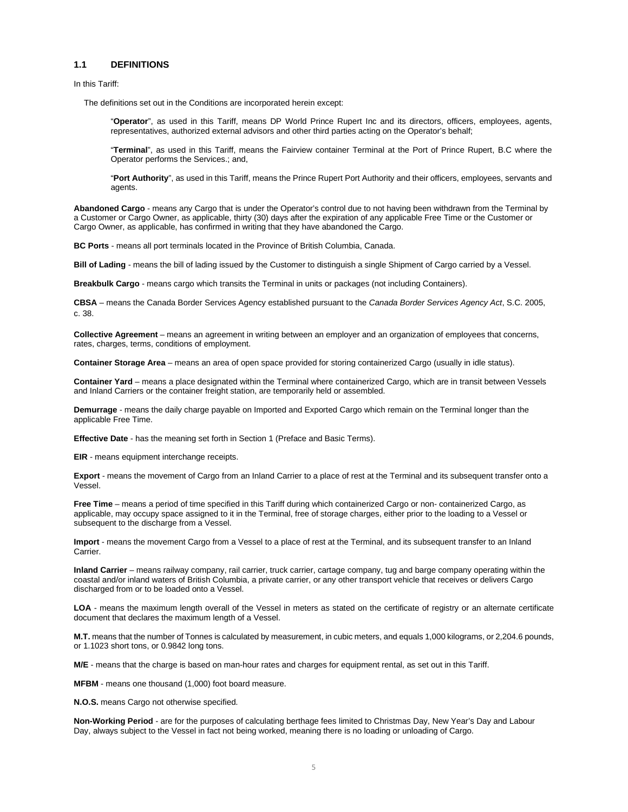#### **1.1 DEFINITIONS**

In this Tariff:

The definitions set out in the Conditions are incorporated herein except:

"**Operator**", as used in this Tariff, means DP World Prince Rupert Inc and its directors, officers, employees, agents, representatives, authorized external advisors and other third parties acting on the Operator's behalf;

"**Terminal**", as used in this Tariff, means the Fairview container Terminal at the Port of Prince Rupert, B.C where the Operator performs the Services.; and,

"**Port Authority**", as used in this Tariff, means the Prince Rupert Port Authority and their officers, employees, servants and agents.

**Abandoned Cargo** - means any Cargo that is under the Operator's control due to not having been withdrawn from the Terminal by a Customer or Cargo Owner, as applicable, thirty (30) days after the expiration of any applicable Free Time or the Customer or Cargo Owner, as applicable, has confirmed in writing that they have abandoned the Cargo.

**BC Ports** - means all port terminals located in the Province of British Columbia, Canada.

**Bill of Lading** - means the bill of lading issued by the Customer to distinguish a single Shipment of Cargo carried by a Vessel.

**Breakbulk Cargo** - means cargo which transits the Terminal in units or packages (not including Containers).

**CBSA** – means the Canada Border Services Agency established pursuant to the *Canada Border Services Agency Act*, S.C. 2005, c. 38.

**Collective Agreement** – means an agreement in writing between an employer and an organization of employees that concerns, rates, charges, terms, conditions of employment.

**Container Storage Area** – means an area of open space provided for storing containerized Cargo (usually in idle status).

**Container Yard** – means a place designated within the Terminal where containerized Cargo, which are in transit between Vessels and Inland Carriers or the container freight station, are temporarily held or assembled.

**Demurrage** - means the daily charge payable on Imported and Exported Cargo which remain on the Terminal longer than the applicable Free Time.

**Effective Date** - has the meaning set forth in Section 1 (Preface and Basic Terms).

**EIR** - means equipment interchange receipts.

**Export** - means the movement of Cargo from an Inland Carrier to a place of rest at the Terminal and its subsequent transfer onto a Vessel.

**Free Time** – means a period of time specified in this Tariff during which containerized Cargo or non- containerized Cargo, as applicable, may occupy space assigned to it in the Terminal, free of storage charges, either prior to the loading to a Vessel or subsequent to the discharge from a Vessel.

**Import** - means the movement Cargo from a Vessel to a place of rest at the Terminal, and its subsequent transfer to an Inland Carrier.

**Inland Carrier** – means railway company, rail carrier, truck carrier, cartage company, tug and barge company operating within the coastal and/or inland waters of British Columbia, a private carrier, or any other transport vehicle that receives or delivers Cargo discharged from or to be loaded onto a Vessel.

**LOA** - means the maximum length overall of the Vessel in meters as stated on the certificate of registry or an alternate certificate document that declares the maximum length of a Vessel.

**M.T.** means that the number of Tonnes is calculated by measurement, in cubic meters, and equals 1,000 kilograms, or 2,204.6 pounds, or 1.1023 short tons, or 0.9842 long tons.

**M/E** - means that the charge is based on man-hour rates and charges for equipment rental, as set out in this Tariff.

**MFBM** - means one thousand (1,000) foot board measure.

**N.O.S.** means Cargo not otherwise specified.

**Non-Working Period** - are for the purposes of calculating berthage fees limited to Christmas Day, New Year's Day and Labour Day, always subject to the Vessel in fact not being worked, meaning there is no loading or unloading of Cargo.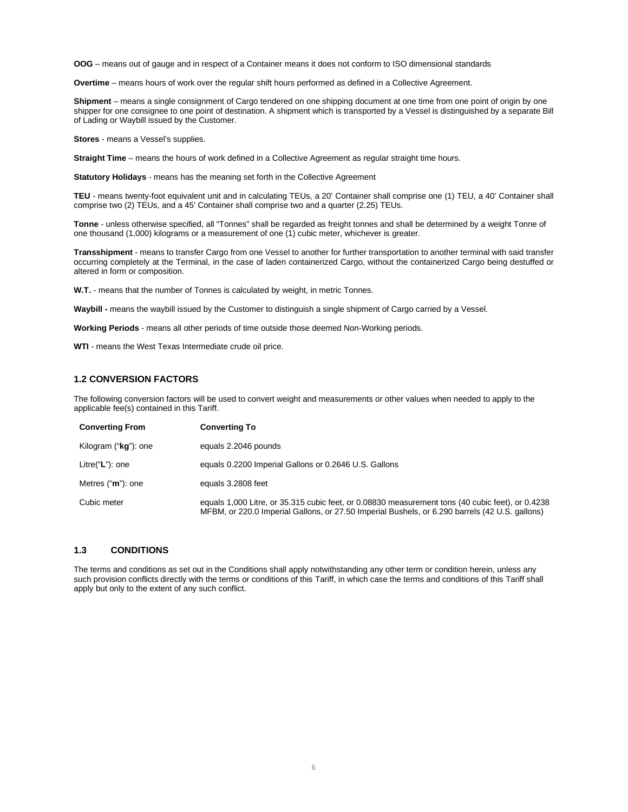**OOG** – means out of gauge and in respect of a Container means it does not conform to ISO dimensional standards

**Overtime** – means hours of work over the regular shift hours performed as defined in a Collective Agreement.

**Shipment** – means a single consignment of Cargo tendered on one shipping document at one time from one point of origin by one shipper for one consignee to one point of destination. A shipment which is transported by a Vessel is distinguished by a separate Bill of Lading or Waybill issued by the Customer.

**Stores** - means a Vessel's supplies.

**Straight Time** – means the hours of work defined in a Collective Agreement as regular straight time hours.

**Statutory Holidays** - means has the meaning set forth in the Collective Agreement

**TEU** - means twenty-foot equivalent unit and in calculating TEUs, a 20' Container shall comprise one (1) TEU, a 40' Container shall comprise two (2) TEUs, and a 45' Container shall comprise two and a quarter (2.25) TEUs.

**Tonne** - unless otherwise specified, all "Tonnes" shall be regarded as freight tonnes and shall be determined by a weight Tonne of one thousand (1,000) kilograms or a measurement of one (1) cubic meter, whichever is greater.

**Transshipment** - means to transfer Cargo from one Vessel to another for further transportation to another terminal with said transfer occurring completely at the Terminal, in the case of laden containerized Cargo, without the containerized Cargo being destuffed or altered in form or composition.

**W.T.** - means that the number of Tonnes is calculated by weight, in metric Tonnes.

**Waybill -** means the waybill issued by the Customer to distinguish a single shipment of Cargo carried by a Vessel.

**Working Periods** - means all other periods of time outside those deemed Non-Working periods.

**WTI** - means the West Texas Intermediate crude oil price.

# **1.2 CONVERSION FACTORS**

The following conversion factors will be used to convert weight and measurements or other values when needed to apply to the applicable fee(s) contained in this Tariff.

| <b>Converting From</b> | <b>Converting To</b>                                                                                                                                                                               |
|------------------------|----------------------------------------------------------------------------------------------------------------------------------------------------------------------------------------------------|
| Kilogram ("kg"): one   | equals 2.2046 pounds                                                                                                                                                                               |
| Litre("L"): one        | equals 0.2200 Imperial Gallons or 0.2646 U.S. Gallons                                                                                                                                              |
| Metres ("m"): one      | equals 3.2808 feet                                                                                                                                                                                 |
| Cubic meter            | equals 1,000 Litre, or 35.315 cubic feet, or 0.08830 measurement tons (40 cubic feet), or 0.4238<br>MFBM, or 220.0 Imperial Gallons, or 27.50 Imperial Bushels, or 6.290 barrels (42 U.S. gallons) |

# **1.3 CONDITIONS**

The terms and conditions as set out in the Conditions shall apply notwithstanding any other term or condition herein, unless any such provision conflicts directly with the terms or conditions of this Tariff, in which case the terms and conditions of this Tariff shall apply but only to the extent of any such conflict.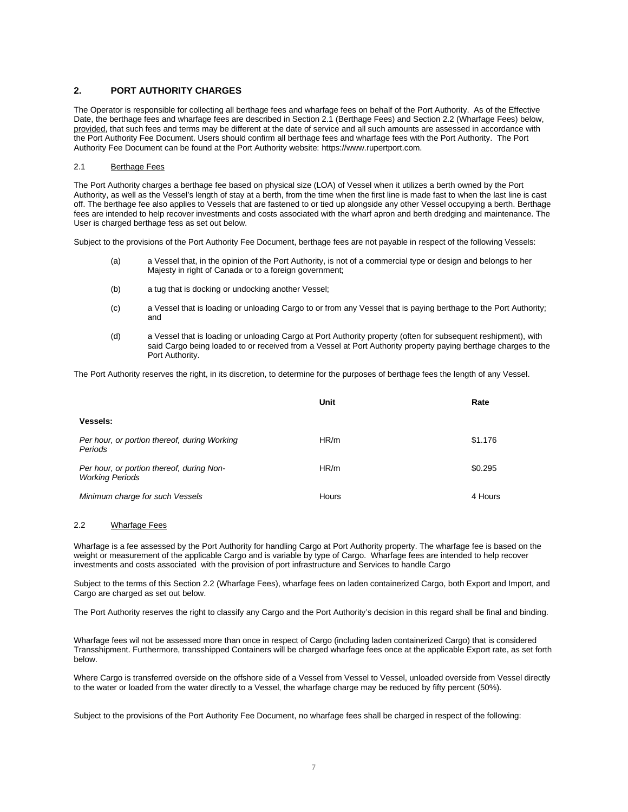# <span id="page-6-0"></span>**2. PORT AUTHORITY CHARGES**

The Operator is responsible for collecting all berthage fees and wharfage fees on behalf of the Port Authority. As of the Effective Date, the berthage fees and wharfage fees are described in Section 2.1 (Berthage Fees) and Section 2.2 (Wharfage Fees) below, provided, that such fees and terms may be different at the date of service and all such amounts are assessed in accordance with the Port Authority Fee Document. Users should confirm all berthage fees and wharfage fees with the Port Authority. The Port Authority Fee Document can be found at the Port Authority website: https://www.rupertport.com.

#### 2.1 Berthage Fees

The Port Authority charges a berthage fee based on physical size (LOA) of Vessel when it utilizes a berth owned by the Port Authority, as well as the Vessel's length of stay at a berth, from the time when the first line is made fast to when the last line is cast off. The berthage fee also applies to Vessels that are fastened to or tied up alongside any other Vessel occupying a berth. Berthage fees are intended to help recover investments and costs associated with the wharf apron and berth dredging and maintenance. The User is charged berthage fess as set out below.

Subject to the provisions of the Port Authority Fee Document, berthage fees are not payable in respect of the following Vessels:

- (a) a Vessel that, in the opinion of the Port Authority, is not of a commercial type or design and belongs to her Majesty in right of Canada or to a foreign government;
- (b) a tug that is docking or undocking another Vessel;
- (c) a Vessel that is loading or unloading Cargo to or from any Vessel that is paying berthage to the Port Authority; and
- (d) a Vessel that is loading or unloading Cargo at Port Authority property (often for subsequent reshipment), with said Cargo being loaded to or received from a Vessel at Port Authority property paying berthage charges to the Port Authority.

The Port Authority reserves the right, in its discretion, to determine for the purposes of berthage fees the length of any Vessel.

|                                                                     | Unit  | Rate    |
|---------------------------------------------------------------------|-------|---------|
| <b>Vessels:</b>                                                     |       |         |
| Per hour, or portion thereof, during Working<br>Periods             | HR/m  | \$1.176 |
| Per hour, or portion thereof, during Non-<br><b>Working Periods</b> | HR/m  | \$0.295 |
| Minimum charge for such Vessels                                     | Hours | 4 Hours |

#### 2.2 Wharfage Fees

Wharfage is a fee assessed by the Port Authority for handling Cargo at Port Authority property. The wharfage fee is based on the weight or measurement of the applicable Cargo and is variable by type of Cargo. Wharfage fees are intended to help recover investments and costs associated with the provision of port infrastructure and Services to handle Cargo

Subject to the terms of this Section 2.2 (Wharfage Fees), wharfage fees on laden containerized Cargo, both Export and Import, and Cargo are charged as set out below.

The Port Authority reserves the right to classify any Cargo and the Port Authority's decision in this regard shall be final and binding.

Wharfage fees wil not be assessed more than once in respect of Cargo (including laden containerized Cargo) that is considered Transshipment. Furthermore, transshipped Containers will be charged wharfage fees once at the applicable Export rate, as set forth below.

Where Cargo is transferred overside on the offshore side of a Vessel from Vessel to Vessel, unloaded overside from Vessel directly to the water or loaded from the water directly to a Vessel, the wharfage charge may be reduced by fifty percent (50%).

Subject to the provisions of the Port Authority Fee Document, no wharfage fees shall be charged in respect of the following: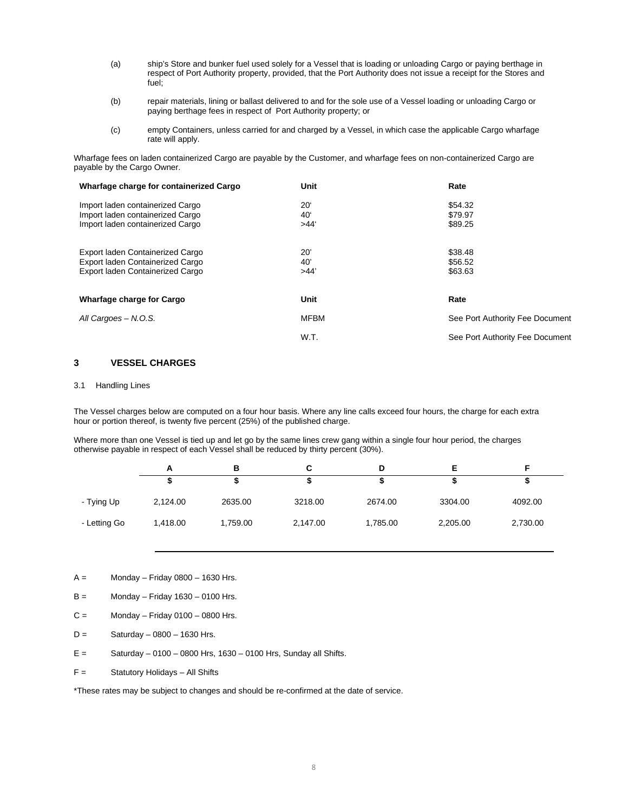- (a) ship's Store and bunker fuel used solely for a Vessel that is loading or unloading Cargo or paying berthage in respect of Port Authority property, provided, that the Port Authority does not issue a receipt for the Stores and fuel;
- (b) repair materials, lining or ballast delivered to and for the sole use of a Vessel loading or unloading Cargo or paying berthage fees in respect of Port Authority property; or
- (c) empty Containers, unless carried for and charged by a Vessel, in which case the applicable Cargo wharfage rate will apply.

Wharfage fees on laden containerized Cargo are payable by the Customer, and wharfage fees on non-containerized Cargo are payable by the Cargo Owner.

| Wharfage charge for containerized Cargo                                                                  | Unit                                    | Rate                            |
|----------------------------------------------------------------------------------------------------------|-----------------------------------------|---------------------------------|
| Import laden containerized Cargo<br>Import laden containerized Cargo<br>Import laden containerized Cargo | $20^{\circ}$<br>40 <sup>°</sup><br>>44' | \$54.32<br>\$79.97<br>\$89.25   |
| Export laden Containerized Cargo<br>Export laden Containerized Cargo<br>Export laden Containerized Cargo | 20'<br>40'<br>>44'                      | \$38.48<br>\$56.52<br>\$63.63   |
| Wharfage charge for Cargo                                                                                | Unit                                    | Rate                            |
| All Cargoes - N.O.S.                                                                                     | MFBM                                    | See Port Authority Fee Document |
|                                                                                                          | W.T.                                    | See Port Authority Fee Document |

# <span id="page-7-0"></span>**3 VESSEL CHARGES**

#### 3.1 Handling Lines

The Vessel charges below are computed on a four hour basis. Where any line calls exceed four hours, the charge for each extra hour or portion thereof, is twenty five percent (25%) of the published charge.

Where more than one Vessel is tied up and let go by the same lines crew gang within a single four hour period, the charges otherwise payable in respect of each Vessel shall be reduced by thirty percent (30%).

|              | А        | в        | С        |          |          |          |  |
|--------------|----------|----------|----------|----------|----------|----------|--|
|              |          |          |          |          |          |          |  |
| - Tying Up   | 2,124.00 | 2635.00  | 3218.00  | 2674.00  | 3304.00  | 4092.00  |  |
| - Letting Go | 1,418.00 | 1,759.00 | 2,147.00 | 1,785.00 | 2,205.00 | 2,730.00 |  |

 $A =$  Monday – Friday 0800 – 1630 Hrs.

- $B =$  Monday Friday 1630 0100 Hrs.
- $C =$  Monday Friday 0100 0800 Hrs.
- $D =$  Saturday 0800 1630 Hrs.
- $E =$  Saturday 0100 0800 Hrs, 1630 0100 Hrs, Sunday all Shifts.
- F = Statutory Holidays All Shifts

\*These rates may be subject to changes and should be re-confirmed at the date of service.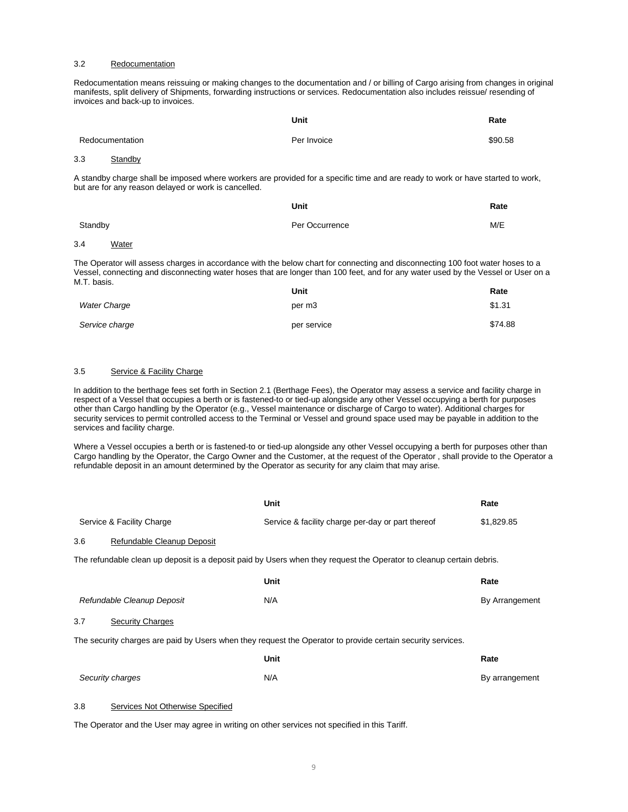#### 3.2 Redocumentation

Redocumentation means reissuing or making changes to the documentation and / or billing of Cargo arising from changes in original manifests, split delivery of Shipments, forwarding instructions or services. Redocumentation also includes reissue/ resending of invoices and back-up to invoices.

|     |                                                      | Unit                                                                                                                            | Rate    |
|-----|------------------------------------------------------|---------------------------------------------------------------------------------------------------------------------------------|---------|
|     | Redocumentation                                      | Per Invoice                                                                                                                     | \$90.58 |
| 3.3 | Standby                                              |                                                                                                                                 |         |
|     | but are for any reason delayed or work is cancelled. | A standby charge shall be imposed where workers are provided for a specific time and are ready to work or have started to work, |         |

|         | Unit           | Rate |
|---------|----------------|------|
| Standby | Per Occurrence | M/E  |
| .       |                |      |

#### 3.4 Water

The Operator will assess charges in accordance with the below chart for connecting and disconnecting 100 foot water hoses to a Vessel, connecting and disconnecting water hoses that are longer than 100 feet, and for any water used by the Vessel or User on a M.T. basis.

|                     | Unit               | Rate    |
|---------------------|--------------------|---------|
| <b>Water Charge</b> | per m <sub>3</sub> | \$1.31  |
| Service charge      | per service        | \$74.88 |

# 3.5 Service & Facility Charge

In addition to the berthage fees set forth in Section 2.1 (Berthage Fees), the Operator may assess a service and facility charge in respect of a Vessel that occupies a berth or is fastened-to or tied-up alongside any other Vessel occupying a berth for purposes other than Cargo handling by the Operator (e.g., Vessel maintenance or discharge of Cargo to water). Additional charges for security services to permit controlled access to the Terminal or Vessel and ground space used may be payable in addition to the services and facility charge.

Where a Vessel occupies a berth or is fastened-to or tied-up alongside any other Vessel occupying a berth for purposes other than Cargo handling by the Operator, the Cargo Owner and the Customer, at the request of the Operator , shall provide to the Operator a refundable deposit in an amount determined by the Operator as security for any claim that may arise.

|     |                                  | <b>Unit</b>                                                                                                          | Rate           |
|-----|----------------------------------|----------------------------------------------------------------------------------------------------------------------|----------------|
|     | Service & Facility Charge        | Service & facility charge per-day or part thereof                                                                    | \$1,829.85     |
| 3.6 | Refundable Cleanup Deposit       |                                                                                                                      |                |
|     |                                  | The refundable clean up deposit is a deposit paid by Users when they request the Operator to cleanup certain debris. |                |
|     |                                  | <b>Unit</b>                                                                                                          | Rate           |
|     | Refundable Cleanup Deposit       | N/A                                                                                                                  | By Arrangement |
| 3.7 | <b>Security Charges</b>          |                                                                                                                      |                |
|     |                                  | The security charges are paid by Users when they request the Operator to provide certain security services.          |                |
|     |                                  | <b>Unit</b>                                                                                                          | Rate           |
|     | Security charges                 | N/A                                                                                                                  | By arrangement |
| 3.8 | Services Not Otherwise Specified |                                                                                                                      |                |

The Operator and the User may agree in writing on other services not specified in this Tariff.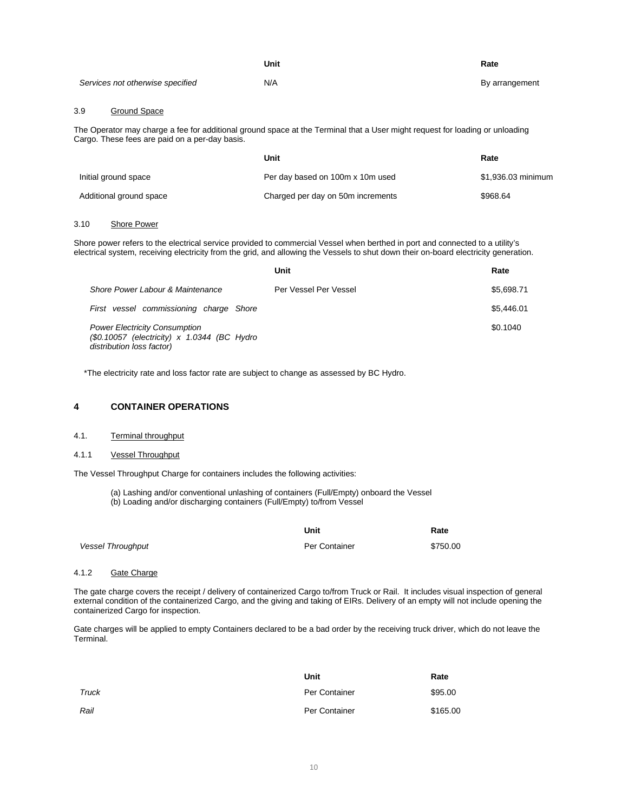|                                  | Unit | Rate           |
|----------------------------------|------|----------------|
| Services not otherwise specified | N/A  | By arrangement |

#### 3.9 Ground Space

The Operator may charge a fee for additional ground space at the Terminal that a User might request for loading or unloading Cargo. These fees are paid on a per-day basis.

|                         | Unit                              | Rate               |
|-------------------------|-----------------------------------|--------------------|
| Initial ground space    | Per day based on 100m x 10m used  | \$1,936.03 minimum |
| Additional ground space | Charged per day on 50m increments | \$968.64           |

#### 3.10 Shore Power

Shore power refers to the electrical service provided to commercial Vessel when berthed in port and connected to a utility's electrical system, receiving electricity from the grid, and allowing the Vessels to shut down their on-board electricity generation.

|                                                                                                                  | Unit                  | Rate       |
|------------------------------------------------------------------------------------------------------------------|-----------------------|------------|
| Shore Power Labour & Maintenance                                                                                 | Per Vessel Per Vessel | \$5,698.71 |
| First vessel commissioning charge Shore                                                                          |                       | \$5.446.01 |
| <b>Power Electricity Consumption</b><br>(\$0.10057 (electricity) x 1.0344 (BC Hydro<br>distribution loss factor) |                       | \$0.1040   |

\*The electricity rate and loss factor rate are subject to change as assessed by BC Hydro.

# <span id="page-9-0"></span>**4 CONTAINER OPERATIONS**

# 4.1. Terminal throughput

#### 4.1.1 Vessel Throughput

The Vessel Throughput Charge for containers includes the following activities:

(a) Lashing and/or conventional unlashing of containers (Full/Empty) onboard the Vessel (b) Loading and/or discharging containers (Full/Empty) to/from Vessel

|                          | Unit          | Rate     |
|--------------------------|---------------|----------|
| <b>Vessel Throughput</b> | Per Container | \$750.00 |

# 4.1.2 Gate Charge

The gate charge covers the receipt / delivery of containerized Cargo to/from Truck or Rail. It includes visual inspection of general external condition of the containerized Cargo, and the giving and taking of EIRs. Delivery of an empty will not include opening the containerized Cargo for inspection.

Gate charges will be applied to empty Containers declared to be a bad order by the receiving truck driver, which do not leave the Terminal.

|       | Unit          | Rate     |
|-------|---------------|----------|
| Truck | Per Container | \$95.00  |
| Rail  | Per Container | \$165.00 |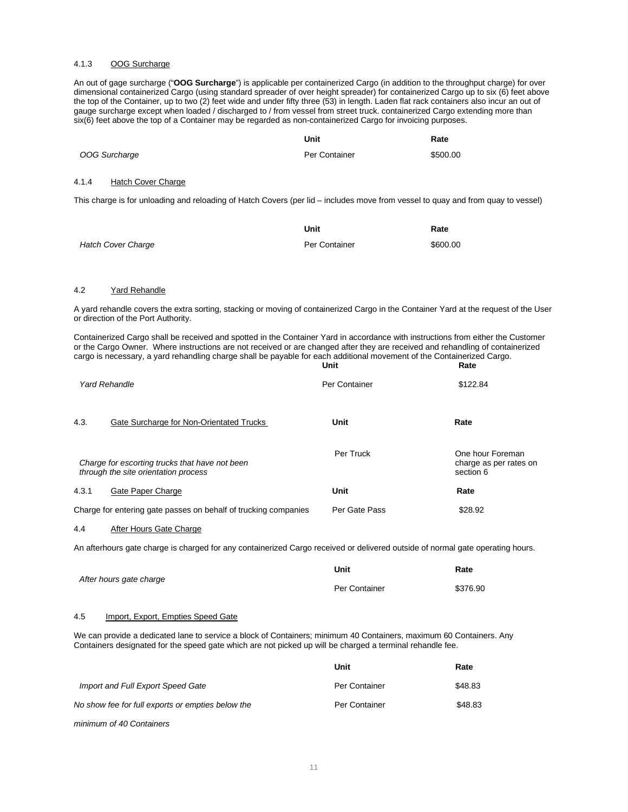#### 4.1.3 OOG Surcharge

An out of gage surcharge ("**OOG Surcharge**") is applicable per containerized Cargo (in addition to the throughput charge) for over dimensional containerized Cargo (using standard spreader of over height spreader) for containerized Cargo up to six (6) feet above the top of the Container, up to two (2) feet wide and under fifty three (53) in length. Laden flat rack containers also incur an out of gauge surcharge except when loaded / discharged to / from vessel from street truck. containerized Cargo extending more than six(6) feet above the top of a Container may be regarded as non-containerized Cargo for invoicing purposes.

|               | Unit          | Rate     |
|---------------|---------------|----------|
| OOG Surcharge | Per Container | \$500.00 |

#### 4.1.4 Hatch Cover Charge

This charge is for unloading and reloading of Hatch Covers (per lid – includes move from vessel to quay and from quay to vessel)

|                           | Unit          | Rate     |
|---------------------------|---------------|----------|
| <b>Hatch Cover Charge</b> | Per Container | \$600.00 |

#### 4.2 Yard Rehandle

A yard rehandle covers the extra sorting, stacking or moving of containerized Cargo in the Container Yard at the request of the User or direction of the Port Authority.

Containerized Cargo shall be received and spotted in the Container Yard in accordance with instructions from either the Customer or the Cargo Owner. Where instructions are not received or are changed after they are received and rehandling of containerized cargo is necessary, a yard rehandling charge shall be payable for each additional movement of the Containerized Cargo. **Unit Rate**

|                                                                                        | ----          | .                                                       |
|----------------------------------------------------------------------------------------|---------------|---------------------------------------------------------|
| <b>Yard Rehandle</b>                                                                   | Per Container | \$122.84                                                |
| 4.3.<br>Gate Surcharge for Non-Orientated Trucks                                       | Unit          | Rate                                                    |
| Charge for escorting trucks that have not been<br>through the site orientation process | Per Truck     | One hour Foreman<br>charge as per rates on<br>section 6 |
| Gate Paper Charge<br>4.3.1                                                             | Unit          | Rate                                                    |
| Charge for entering gate passes on behalf of trucking companies                        | Per Gate Pass | \$28.92                                                 |

#### 4.4 After Hours Gate Charge

An afterhours gate charge is charged for any containerized Cargo received or delivered outside of normal gate operating hours.

|                         | Unit          | Rate     |
|-------------------------|---------------|----------|
| After hours gate charge | Per Container | \$376.90 |

#### 4.5 Import, Export, Empties Speed Gate

We can provide a dedicated lane to service a block of Containers; minimum 40 Containers, maximum 60 Containers. Any Containers designated for the speed gate which are not picked up will be charged a terminal rehandle fee.

|                                                   | Unit          | Rate    |
|---------------------------------------------------|---------------|---------|
| Import and Full Export Speed Gate                 | Per Container | \$48.83 |
| No show fee for full exports or empties below the | Per Container | \$48.83 |
| minimum of 40 Containers                          |               |         |

11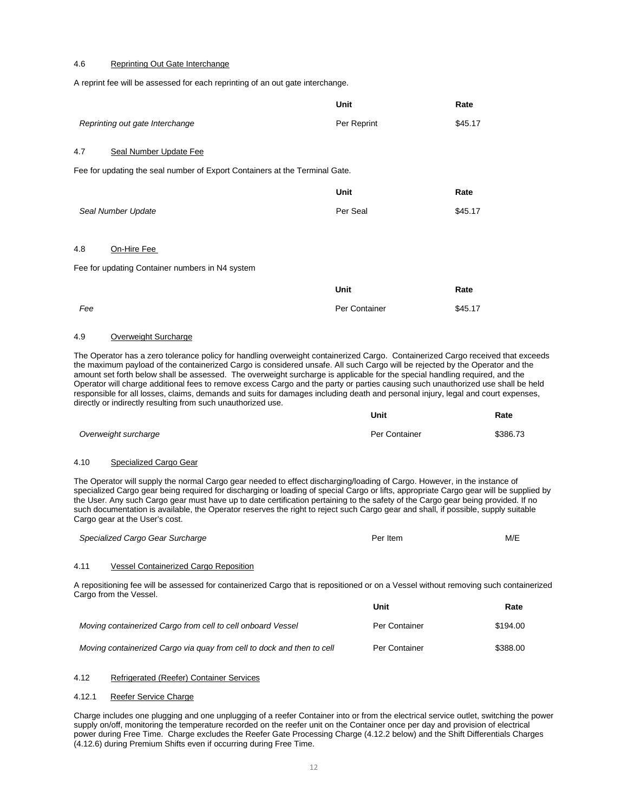#### 4.6 Reprinting Out Gate Interchange

A reprint fee will be assessed for each reprinting of an out gate interchange.

|                                                                             | Unit          | Rate    |
|-----------------------------------------------------------------------------|---------------|---------|
| Reprinting out gate Interchange                                             | Per Reprint   | \$45.17 |
| 4.7<br>Seal Number Update Fee                                               |               |         |
| Fee for updating the seal number of Export Containers at the Terminal Gate. |               |         |
|                                                                             | <b>Unit</b>   | Rate    |
| Seal Number Update                                                          | Per Seal      | \$45.17 |
|                                                                             |               |         |
| 4.8<br>On-Hire Fee                                                          |               |         |
| Fee for updating Container numbers in N4 system                             |               |         |
|                                                                             | <b>Unit</b>   | Rate    |
| Fee                                                                         | Per Container | \$45.17 |

#### 4.9 Overweight Surcharge

The Operator has a zero tolerance policy for handling overweight containerized Cargo. Containerized Cargo received that exceeds the maximum payload of the containerized Cargo is considered unsafe. All such Cargo will be rejected by the Operator and the amount set forth below shall be assessed. The overweight surcharge is applicable for the special handling required, and the Operator will charge additional fees to remove excess Cargo and the party or parties causing such unauthorized use shall be held responsible for all losses, claims, demands and suits for damages including death and personal injury, legal and court expenses, directly or indirectly resulting from such unauthorized use.

**Unit**

**Rate**

|                      | -----         | .        |
|----------------------|---------------|----------|
| Overweight surcharge | Per Container | \$386.73 |

#### 4.10 Specialized Cargo Gear

The Operator will supply the normal Cargo gear needed to effect discharging/loading of Cargo. However, in the instance of specialized Cargo gear being required for discharging or loading of special Cargo or lifts, appropriate Cargo gear will be supplied by the User. Any such Cargo gear must have up to date certification pertaining to the safety of the Cargo gear being provided. If no such documentation is available, the Operator reserves the right to reject such Cargo gear and shall, if possible, supply suitable Cargo gear at the User's cost.

| Specialized Cargo Gear Surcharge | Per Item | M/E |
|----------------------------------|----------|-----|

#### 4.11 Vessel Containerized Cargo Reposition

A repositioning fee will be assessed for containerized Cargo that is repositioned or on a Vessel without removing such containerized Cargo from the Vessel.

|                                                                        | Unit          | Rate     |
|------------------------------------------------------------------------|---------------|----------|
| Moving containerized Cargo from cell to cell onboard Vessel            | Per Container | \$194.00 |
| Moving containerized Cargo via guay from cell to dock and then to cell | Per Container | \$388.00 |

#### 4.12 Refrigerated (Reefer) Container Services

#### 4.12.1 Reefer Service Charge

Charge includes one plugging and one unplugging of a reefer Container into or from the electrical service outlet, switching the power supply on/off, monitoring the temperature recorded on the reefer unit on the Container once per day and provision of electrical power during Free Time. Charge excludes the Reefer Gate Processing Charge (4.12.2 below) and the Shift Differentials Charges (4.12.6) during Premium Shifts even if occurring during Free Time.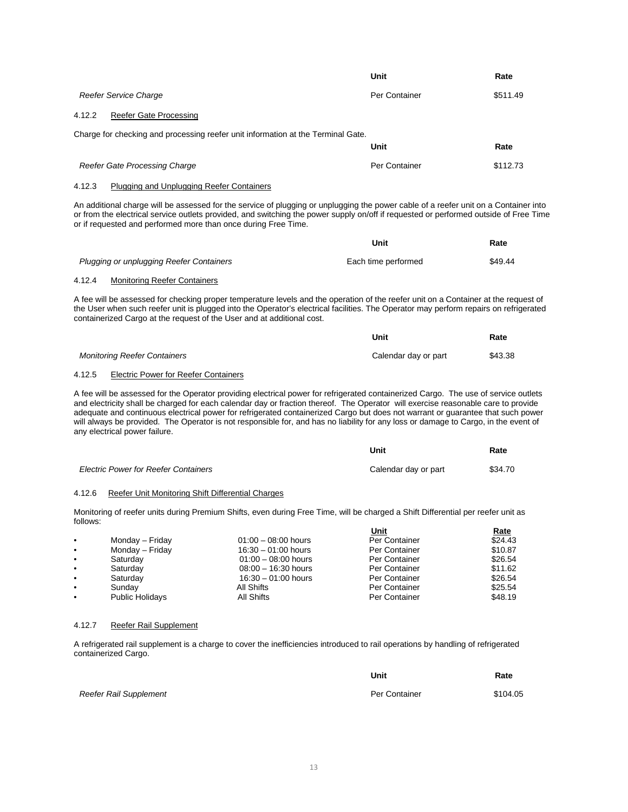|                                                                                  | Unit          | Rate     |
|----------------------------------------------------------------------------------|---------------|----------|
| <b>Reefer Service Charge</b>                                                     | Per Container | \$511.49 |
| Reefer Gate Processing<br>4.12.2                                                 |               |          |
| Charge for checking and processing reefer unit information at the Terminal Gate. |               |          |
|                                                                                  | Unit          | Rate     |
| Reefer Gate Processing Charge                                                    | Per Container | \$112.73 |
| 4.12.3<br>Plugging and Unplugging Reefer Containers                              |               |          |

An additional charge will be assessed for the service of plugging or unplugging the power cable of a reefer unit on a Container into or from the electrical service outlets provided, and switching the power supply on/off if requested or performed outside of Free Time or if requested and performed more than once during Free Time.

|                                          | Unit                | Rate    |
|------------------------------------------|---------------------|---------|
| Plugging or unplugging Reefer Containers | Each time performed | \$49.44 |

# 4.12.4 Monitoring Reefer Containers

A fee will be assessed for checking proper temperature levels and the operation of the reefer unit on a Container at the request of the User when such reefer unit is plugged into the Operator's electrical facilities. The Operator may perform repairs on refrigerated containerized Cargo at the request of the User and at additional cost.

|                                     | Unit                 | Rate    |
|-------------------------------------|----------------------|---------|
| <b>Monitoring Reefer Containers</b> | Calendar day or part | \$43.38 |

### 4.12.5 Electric Power for Reefer Containers

A fee will be assessed for the Operator providing electrical power for refrigerated containerized Cargo. The use of service outlets and electricity shall be charged for each calendar day or fraction thereof. The Operator will exercise reasonable care to provide adequate and continuous electrical power for refrigerated containerized Cargo but does not warrant or guarantee that such power will always be provided. The Operator is not responsible for, and has no liability for any loss or damage to Cargo, in the event of any electrical power failure.

|                                             | Unit                 | Rate    |
|---------------------------------------------|----------------------|---------|
| <b>Electric Power for Reefer Containers</b> | Calendar day or part | \$34.70 |

#### 4.12.6 Reefer Unit Monitoring Shift Differential Charges

Monitoring of reefer units during Premium Shifts, even during Free Time, will be charged a Shift Differential per reefer unit as follows:

|           |                        |                       | Unit          | <u>Rate</u> |
|-----------|------------------------|-----------------------|---------------|-------------|
| $\bullet$ | Monday - Friday        | $01:00 - 08:00$ hours | Per Container | \$24.43     |
| $\bullet$ | Monday - Friday        | $16:30 - 01:00$ hours | Per Container | \$10.87     |
| $\bullet$ | Saturday               | $01:00 - 08:00$ hours | Per Container | \$26.54     |
| $\bullet$ | Saturdav               | $08:00 - 16:30$ hours | Per Container | \$11.62     |
| $\bullet$ | Saturday               | $16:30 - 01:00$ hours | Per Container | \$26.54     |
| $\bullet$ | Sundav                 | All Shifts            | Per Container | \$25.54     |
|           | <b>Public Holidays</b> | All Shifts            | Per Container | \$48.19     |

#### 4.12.7 Reefer Rail Supplement

A refrigerated rail supplement is a charge to cover the inefficiencies introduced to rail operations by handling of refrigerated containerized Cargo.

|                        | Unit          | Rate     |
|------------------------|---------------|----------|
| Reefer Rail Supplement | Per Container | \$104.05 |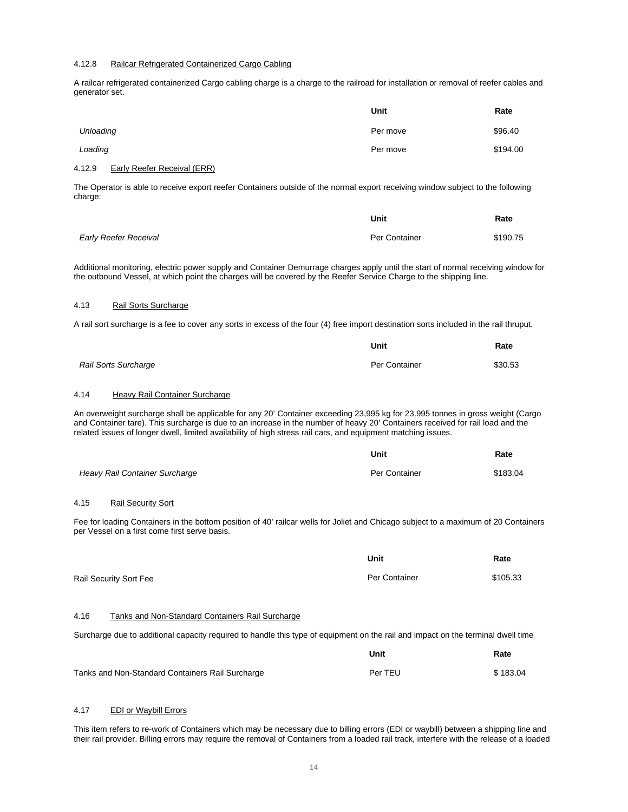#### 4.12.8 Railcar Refrigerated Containerized Cargo Cabling

A railcar refrigerated containerized Cargo cabling charge is a charge to the railroad for installation or removal of reefer cables and generator set.

|           | Unit     | Rate     |
|-----------|----------|----------|
| Unloading | Per move | \$96.40  |
| Loading   | Per move | \$194.00 |

#### 4.12.9 Early Reefer Receival (ERR)

The Operator is able to receive export reefer Containers outside of the normal export receiving window subject to the following charge:

|                       | Unit          | Rate     |
|-----------------------|---------------|----------|
| Early Reefer Receival | Per Container | \$190.75 |

Additional monitoring, electric power supply and Container Demurrage charges apply until the start of normal receiving window for the outbound Vessel, at which point the charges will be covered by the Reefer Service Charge to the shipping line.

#### 4.13 Rail Sorts Surcharge

A rail sort surcharge is a fee to cover any sorts in excess of the four (4) free import destination sorts included in the rail thruput.

|                             | Unit          | Rate    |
|-----------------------------|---------------|---------|
| <b>Rail Sorts Surcharge</b> | Per Container | \$30.53 |

# 4.14 Heavy Rail Container Surcharge

An overweight surcharge shall be applicable for any 20' Container exceeding 23,995 kg for 23.995 tonnes in gross weight (Cargo and Container tare). This surcharge is due to an increase in the number of heavy 20' Containers received for rail load and the related issues of longer dwell, limited availability of high stress rail cars, and equipment matching issues.

|                                | Unit          | Rate     |
|--------------------------------|---------------|----------|
| Heavy Rail Container Surcharge | Per Container | \$183.04 |

#### 4.15 Rail Security Sort

Fee for loading Containers in the bottom position of 40' railcar wells for Joliet and Chicago subject to a maximum of 20 Containers per Vessel on a first come first serve basis.

|                        | Unit          | Rate     |
|------------------------|---------------|----------|
| Rail Security Sort Fee | Per Container | \$105.33 |

#### 4.16 Tanks and Non-Standard Containers Rail Surcharge

Surcharge due to additional capacity required to handle this type of equipment on the rail and impact on the terminal dwell time

|                                                  | Unit    | Rate     |
|--------------------------------------------------|---------|----------|
| Tanks and Non-Standard Containers Rail Surcharge | Per TEU | \$183.04 |

### 4.17 EDI or Waybill Errors

This item refers to re-work of Containers which may be necessary due to billing errors (EDI or waybill) between a shipping line and their rail provider. Billing errors may require the removal of Containers from a loaded rail track, interfere with the release of a loaded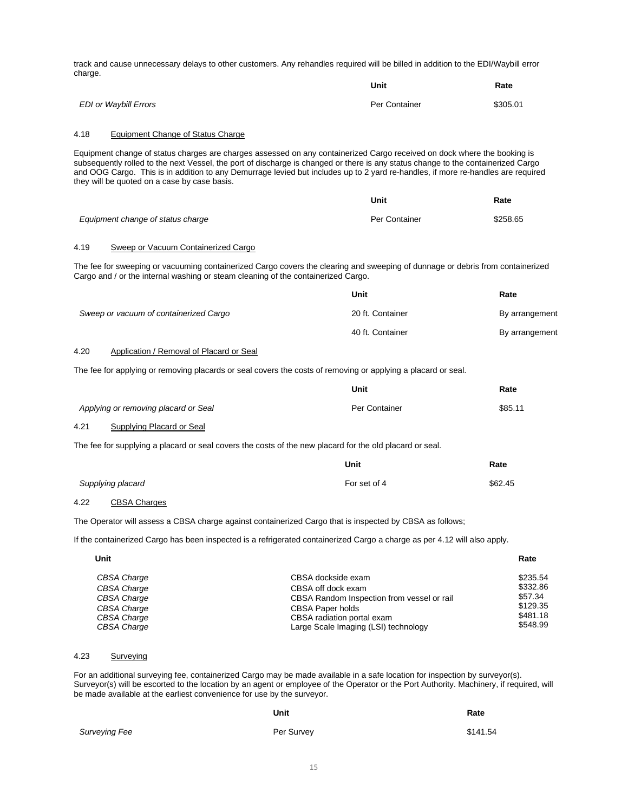track and cause unnecessary delays to other customers. Any rehandles required will be billed in addition to the EDI/Waybill error charge.

|                       | Unit          | Rate     |
|-----------------------|---------------|----------|
| EDI or Waybill Errors | Per Container | \$305.01 |

#### 4.18 Equipment Change of Status Charge

Equipment change of status charges are charges assessed on any containerized Cargo received on dock where the booking is subsequently rolled to the next Vessel, the port of discharge is changed or there is any status change to the containerized Cargo and OOG Cargo. This is in addition to any Demurrage levied but includes up to 2 yard re-handles, if more re-handles are required they will be quoted on a case by case basis.

|                                   | Unit          | Rate     |
|-----------------------------------|---------------|----------|
| Equipment change of status charge | Per Container | \$258.65 |

# 4.19 Sweep or Vacuum Containerized Cargo

The fee for sweeping or vacuuming containerized Cargo covers the clearing and sweeping of dunnage or debris from containerized Cargo and / or the internal washing or steam cleaning of the containerized Cargo.

|                                        | Unit             | Rate           |
|----------------------------------------|------------------|----------------|
| Sweep or vacuum of containerized Cargo | 20 ft. Container | By arrangement |
|                                        | 40 ft. Container | By arrangement |

**Unit**

**Rate**

#### 4.20 Application / Removal of Placard or Seal

The fee for applying or removing placards or seal covers the costs of removing or applying a placard or seal.

|      |                                      | vuu           | nalt    |
|------|--------------------------------------|---------------|---------|
|      | Applying or removing placard or Seal | Per Container | \$85.11 |
| 4.21 | Supplying Placard or Seal            |               |         |

The fee for supplying a placard or seal covers the costs of the new placard for the old placard or seal.

|                   | Unit         | Rate    |
|-------------------|--------------|---------|
| Supplying placard | For set of 4 | \$62.45 |

# 4.22 CBSA Charges

The Operator will assess a CBSA charge against containerized Cargo that is inspected by CBSA as follows;

If the containerized Cargo has been inspected is a refrigerated containerized Cargo a charge as per 4.12 will also apply.

| Unit        |                                            | Rate     |
|-------------|--------------------------------------------|----------|
| CBSA Charge | CBSA dockside exam                         | \$235.54 |
| CBSA Charge | CBSA off dock exam                         | \$332.86 |
| CBSA Charge | CBSA Random Inspection from vessel or rail | \$57.34  |
| CBSA Charge | <b>CBSA Paper holds</b>                    | \$129.35 |
| CBSA Charge | CBSA radiation portal exam                 | \$481.18 |
| CBSA Charge | Large Scale Imaging (LSI) technology       | \$548.99 |

# 4.23 Surveying

For an additional surveying fee, containerized Cargo may be made available in a safe location for inspection by surveyor(s). Surveyor(s) will be escorted to the location by an agent or employee of the Operator or the Port Authority. Machinery, if required, will be made available at the earliest convenience for use by the surveyor.

|               | Unit       | Rate     |
|---------------|------------|----------|
| Surveying Fee | Per Survey | \$141.54 |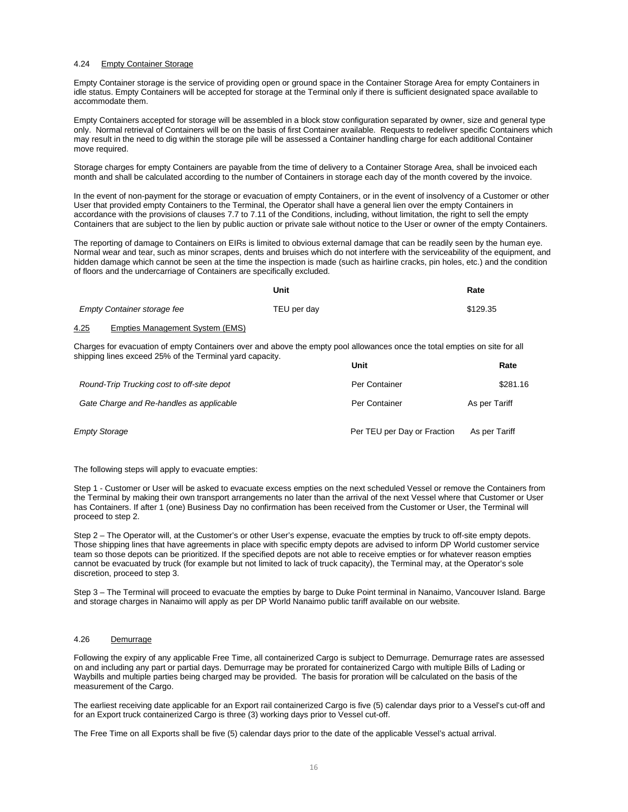#### 4.24 Empty Container Storage

Empty Container storage is the service of providing open or ground space in the Container Storage Area for empty Containers in idle status. Empty Containers will be accepted for storage at the Terminal only if there is sufficient designated space available to accommodate them.

Empty Containers accepted for storage will be assembled in a block stow configuration separated by owner, size and general type only. Normal retrieval of Containers will be on the basis of first Container available. Requests to redeliver specific Containers which may result in the need to dig within the storage pile will be assessed a Container handling charge for each additional Container move required.

Storage charges for empty Containers are payable from the time of delivery to a Container Storage Area, shall be invoiced each month and shall be calculated according to the number of Containers in storage each day of the month covered by the invoice.

In the event of non-payment for the storage or evacuation of empty Containers, or in the event of insolvency of a Customer or other User that provided empty Containers to the Terminal, the Operator shall have a general lien over the empty Containers in accordance with the provisions of clauses 7.7 to 7.11 of the Conditions, including, without limitation, the right to sell the empty Containers that are subject to the lien by public auction or private sale without notice to the User or owner of the empty Containers.

The reporting of damage to Containers on EIRs is limited to obvious external damage that can be readily seen by the human eye. Normal wear and tear, such as minor scrapes, dents and bruises which do not interfere with the serviceability of the equipment, and hidden damage which cannot be seen at the time the inspection is made (such as hairline cracks, pin holes, etc.) and the condition of floors and the undercarriage of Containers are specifically excluded.

|      |                                 | Unit        | Rate     |
|------|---------------------------------|-------------|----------|
|      | Empty Container storage fee     | TEU per dav | \$129.35 |
| 4.25 | Empties Management System (EMS) |             |          |

Charges for evacuation of empty Containers over and above the empty pool allowances once the total empties on site for all shipping lines exceed 25% of the Terminal yard capacity. **Unit**

|                                            | Unit                        | Rate          |
|--------------------------------------------|-----------------------------|---------------|
| Round-Trip Trucking cost to off-site depot | Per Container               | \$281.16      |
| Gate Charge and Re-handles as applicable   | Per Container               | As per Tariff |
| <b>Empty Storage</b>                       | Per TEU per Day or Fraction | As per Tariff |

The following steps will apply to evacuate empties:

Step 1 - Customer or User will be asked to evacuate excess empties on the next scheduled Vessel or remove the Containers from the Terminal by making their own transport arrangements no later than the arrival of the next Vessel where that Customer or User has Containers. If after 1 (one) Business Day no confirmation has been received from the Customer or User, the Terminal will proceed to step 2.

Step 2 – The Operator will, at the Customer's or other User's expense, evacuate the empties by truck to off-site empty depots. Those shipping lines that have agreements in place with specific empty depots are advised to inform DP World customer service team so those depots can be prioritized. If the specified depots are not able to receive empties or for whatever reason empties cannot be evacuated by truck (for example but not limited to lack of truck capacity), the Terminal may, at the Operator's sole discretion, proceed to step 3.

Step 3 – The Terminal will proceed to evacuate the empties by barge to Duke Point terminal in Nanaimo, Vancouver Island. Barge and storage charges in Nanaimo will apply as per DP World Nanaimo public tariff available on our website.

#### 4.26 Demurrage

Following the expiry of any applicable Free Time, all containerized Cargo is subject to Demurrage. Demurrage rates are assessed on and including any part or partial days. Demurrage may be prorated for containerized Cargo with multiple Bills of Lading or Waybills and multiple parties being charged may be provided. The basis for proration will be calculated on the basis of the measurement of the Cargo.

The earliest receiving date applicable for an Export rail containerized Cargo is five (5) calendar days prior to a Vessel's cut-off and for an Export truck containerized Cargo is three (3) working days prior to Vessel cut-off.

The Free Time on all Exports shall be five (5) calendar days prior to the date of the applicable Vessel's actual arrival.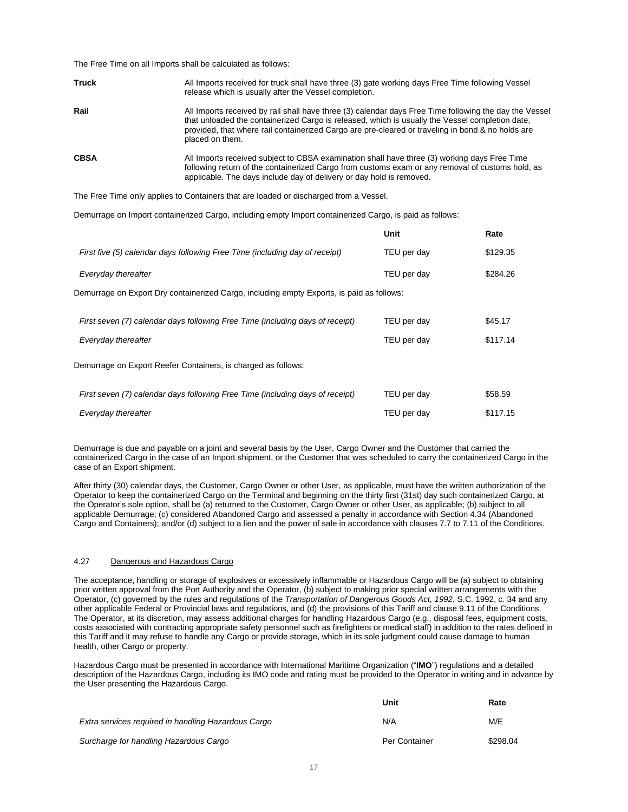The Free Time on all Imports shall be calculated as follows:

| <b>Truck</b> | All Imports received for truck shall have three (3) gate working days Free Time following Vessel<br>release which is usually after the Vessel completion.                                                                                                                                                                         |
|--------------|-----------------------------------------------------------------------------------------------------------------------------------------------------------------------------------------------------------------------------------------------------------------------------------------------------------------------------------|
| Rail         | All Imports received by rail shall have three (3) calendar days Free Time following the day the Vessel<br>that unloaded the containerized Cargo is released, which is usually the Vessel completion date,<br>provided, that where rail containerized Cargo are pre-cleared or traveling in bond & no holds are<br>placed on them. |
| <b>CBSA</b>  | All Imports received subject to CBSA examination shall have three (3) working days Free Time<br>following return of the containerized Cargo from customs exam or any removal of customs hold, as<br>applicable. The days include day of delivery or day hold is removed.                                                          |

The Free Time only applies to Containers that are loaded or discharged from a Vessel.

Demurrage on Import containerized Cargo, including empty Import containerized Cargo, is paid as follows:

|                                                                                           | Unit        | Rate     |
|-------------------------------------------------------------------------------------------|-------------|----------|
| First five (5) calendar days following Free Time (including day of receipt)               | TEU per day | \$129.35 |
| Everyday thereafter                                                                       | TEU per day | \$284.26 |
| Demurrage on Export Dry containerized Cargo, including empty Exports, is paid as follows: |             |          |
| First seven (7) calendar days following Free Time (including days of receipt)             | TEU per day | \$45.17  |
| Everyday thereafter                                                                       | TEU per day | \$117.14 |
| Demurrage on Export Reefer Containers, is charged as follows:                             |             |          |
| First seven (7) calendar days following Free Time (including days of receipt)             | TEU per day | \$58.59  |
| Everyday thereafter                                                                       | TEU per day | \$117.15 |

Demurrage is due and payable on a joint and several basis by the User, Cargo Owner and the Customer that carried the containerized Cargo in the case of an Import shipment, or the Customer that was scheduled to carry the containerized Cargo in the case of an Export shipment.

After thirty (30) calendar days, the Customer, Cargo Owner or other User, as applicable, must have the written authorization of the Operator to keep the containerized Cargo on the Terminal and beginning on the thirty first (31st) day such containerized Cargo, at the Operator's sole option, shall be (a) returned to the Customer, Cargo Owner or other User, as applicable; (b) subject to all applicable Demurrage; (c) considered Abandoned Cargo and assessed a penalty in accordance with Section 4.34 (Abandoned Cargo and Containers); and/or (d) subject to a lien and the power of sale in accordance with clauses 7.7 to 7.11 of the Conditions.

#### 4.27 Dangerous and Hazardous Cargo

The acceptance, handling or storage of explosives or excessively inflammable or Hazardous Cargo will be (a) subject to obtaining prior written approval from the Port Authority and the Operator, (b) subject to making prior special written arrangements with the Operator, (c) governed by the rules and regulations of the *Transportation of Dangerous Goods Act, 1992*, S.C. 1992, c. 34 and any other applicable Federal or Provincial laws and regulations, and (d) the provisions of this Tariff and clause 9.11 of the Conditions. The Operator, at its discretion, may assess additional charges for handling Hazardous Cargo (e.g., disposal fees, equipment costs, costs associated with contracting appropriate safety personnel such as firefighters or medical staff) in addition to the rates defined in this Tariff and it may refuse to handle any Cargo or provide storage, which in its sole judgment could cause damage to human health, other Cargo or property.

Hazardous Cargo must be presented in accordance with International Maritime Organization ("**IMO**") regulations and a detailed description of the Hazardous Cargo, including its IMO code and rating must be provided to the Operator in writing and in advance by the User presenting the Hazardous Cargo.

|                                                     | Unit          | Rate     |
|-----------------------------------------------------|---------------|----------|
| Extra services required in handling Hazardous Cargo | N/A           | M/E      |
| Surcharge for handling Hazardous Cargo              | Per Container | \$298.04 |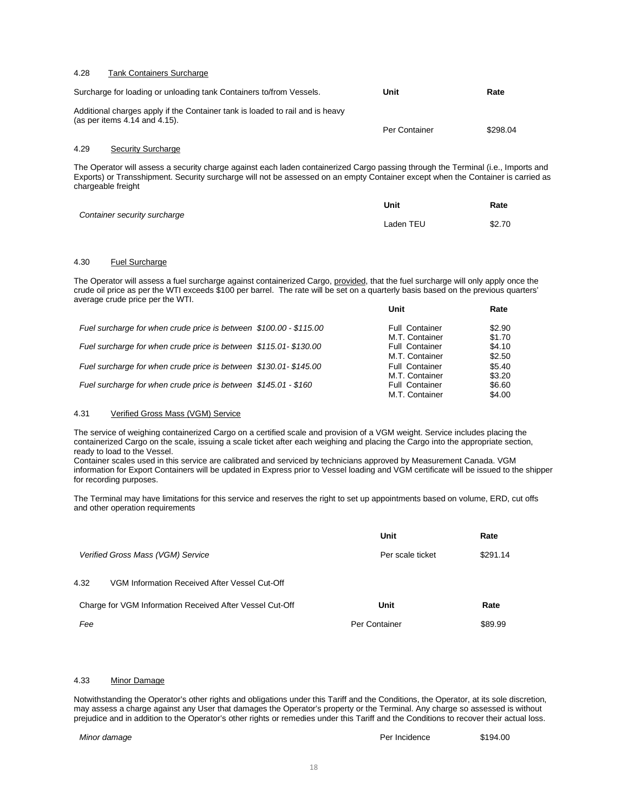#### 4.28 Tank Containers Surcharge

| Surcharge for loading or unloading tank Containers to/from Vessels.                                                 | Unit          | Rate     |
|---------------------------------------------------------------------------------------------------------------------|---------------|----------|
| Additional charges apply if the Container tank is loaded to rail and is heavy<br>(as per items $4.14$ and $4.15$ ). | Per Container | \$298.04 |

#### 4.29 Security Surcharge

The Operator will assess a security charge against each laden containerized Cargo passing through the Terminal (i.e., Imports and Exports) or Transshipment. Security surcharge will not be assessed on an empty Container except when the Container is carried as chargeable freight

| Container security surcharge | Unit      | Rate   |
|------------------------------|-----------|--------|
|                              | Laden TEU | \$2.70 |

#### 4.30 Fuel Surcharge

The Operator will assess a fuel surcharge against containerized Cargo, provided, that the fuel surcharge will only apply once the crude oil price as per the WTI exceeds \$100 per barrel. The rate will be set on a quarterly basis based on the previous quarters' average crude price per the WTI. **Unit Rate**

|                                                                    | unit                  | Rate   |
|--------------------------------------------------------------------|-----------------------|--------|
| Fuel surcharge for when crude price is between \$100.00 - \$115.00 | <b>Full Container</b> | \$2.90 |
|                                                                    | M.T. Container        | \$1.70 |
| Fuel surcharge for when crude price is between \$115.01-\$130.00   | <b>Full Container</b> | \$4.10 |
|                                                                    | M.T. Container        | \$2.50 |
| Fuel surcharge for when crude price is between \$130.01-\$145.00   | <b>Full Container</b> | \$5.40 |
|                                                                    | M.T. Container        | \$3.20 |
| Fuel surcharge for when crude price is between \$145.01 - \$160    | <b>Full Container</b> | \$6.60 |
|                                                                    | M.T. Container        | \$4.00 |

#### 4.31 Verified Gross Mass (VGM) Service

The service of weighing containerized Cargo on a certified scale and provision of a VGM weight. Service includes placing the containerized Cargo on the scale, issuing a scale ticket after each weighing and placing the Cargo into the appropriate section, ready to load to the Vessel.

Container scales used in this service are calibrated and serviced by technicians approved by Measurement Canada. VGM information for Export Containers will be updated in Express prior to Vessel loading and VGM certificate will be issued to the shipper for recording purposes.

The Terminal may have limitations for this service and reserves the right to set up appointments based on volume, ERD, cut offs and other operation requirements

|                                                          | Unit             | Rate     |
|----------------------------------------------------------|------------------|----------|
| Verified Gross Mass (VGM) Service                        | Per scale ticket | \$291.14 |
| 4.32<br>VGM Information Received After Vessel Cut-Off    |                  |          |
| Charge for VGM Information Received After Vessel Cut-Off | Unit             | Rate     |
| Fee                                                      | Per Container    | \$89.99  |

#### 4.33 Minor Damage

Notwithstanding the Operator's other rights and obligations under this Tariff and the Conditions, the Operator, at its sole discretion, may assess a charge against any User that damages the Operator's property or the Terminal. Any charge so assessed is without prejudice and in addition to the Operator's other rights or remedies under this Tariff and the Conditions to recover their actual loss.

*Minor damage* \$194.00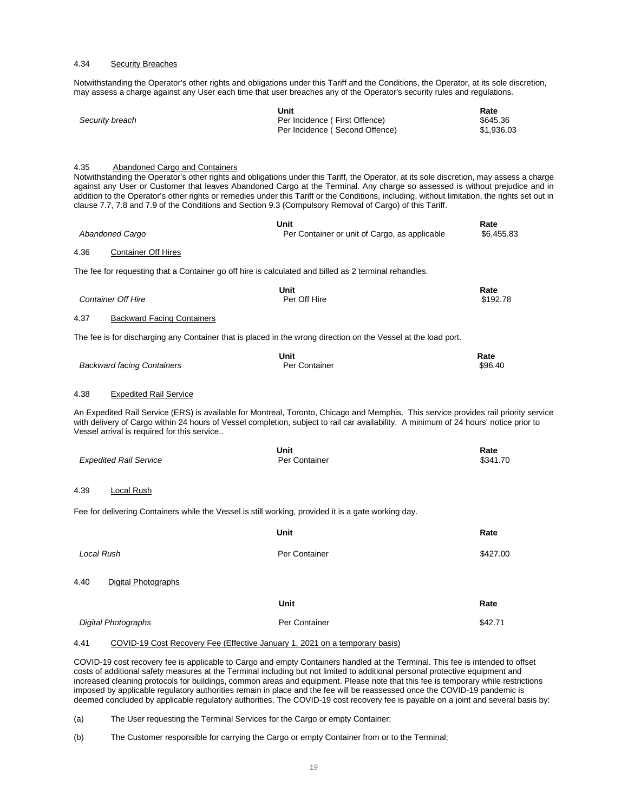#### 4.34 Security Breaches

Notwithstanding the Operator's other rights and obligations under this Tariff and the Conditions, the Operator, at its sole discretion, may assess a charge against any User each time that user breaches any of the Operator's security rules and regulations.

|                 | Unit                           | Rate       |
|-----------------|--------------------------------|------------|
| Security breach | Per Incidence (First Offence)  | \$645.36   |
|                 | Per Incidence (Second Offence) | \$1.936.03 |

#### 4.35 Abandoned Cargo and Containers

Notwithstanding the Operator's other rights and obligations under this Tariff, the Operator, at its sole discretion, may assess a charge against any User or Customer that leaves Abandoned Cargo at the Terminal. Any charge so assessed is without prejudice and in addition to the Operator's other rights or remedies under this Tariff or the Conditions, including, without limitation, the rights set out in clause 7.7, 7.8 and 7.9 of the Conditions and Section 9.3 (Compulsory Removal of Cargo) of this Tariff.

|      | <b>Abandoned Cargo</b>                                                                                | Unit<br>Per Container or unit of Cargo, as applicable                                                                                                                                                                                                                         | Rate<br>\$6,455.83 |
|------|-------------------------------------------------------------------------------------------------------|-------------------------------------------------------------------------------------------------------------------------------------------------------------------------------------------------------------------------------------------------------------------------------|--------------------|
| 4.36 | <b>Container Off Hires</b>                                                                            |                                                                                                                                                                                                                                                                               |                    |
|      | The fee for requesting that a Container go off hire is calculated and billed as 2 terminal rehandles. |                                                                                                                                                                                                                                                                               |                    |
|      | <b>Container Off Hire</b>                                                                             | <b>Unit</b><br>Per Off Hire                                                                                                                                                                                                                                                   | Rate<br>\$192.78   |
| 4.37 | <b>Backward Facing Containers</b>                                                                     |                                                                                                                                                                                                                                                                               |                    |
|      |                                                                                                       | The fee is for discharging any Container that is placed in the wrong direction on the Vessel at the load port.                                                                                                                                                                |                    |
|      | <b>Backward facing Containers</b>                                                                     | <b>Unit</b><br>Per Container                                                                                                                                                                                                                                                  | Rate<br>\$96.40    |
| 4.38 | <b>Expedited Rail Service</b>                                                                         |                                                                                                                                                                                                                                                                               |                    |
|      | Vessel arrival is required for this service                                                           | An Expedited Rail Service (ERS) is available for Montreal, Toronto, Chicago and Memphis. This service provides rail priority service<br>with delivery of Cargo within 24 hours of Vessel completion, subject to rail car availability. A minimum of 24 hours' notice prior to |                    |
|      | <b>Expedited Rail Service</b>                                                                         | Unit<br>Per Container                                                                                                                                                                                                                                                         | Rate<br>\$341.70   |
| 4.39 | Local Rush                                                                                            |                                                                                                                                                                                                                                                                               |                    |
|      | Fee for delivering Containers while the Vessel is still working, provided it is a gate working day.   |                                                                                                                                                                                                                                                                               |                    |
|      |                                                                                                       | Unit                                                                                                                                                                                                                                                                          | Rate               |
|      | Local Rush                                                                                            | Per Container                                                                                                                                                                                                                                                                 | \$427.00           |
| 4.40 | <b>Digital Photographs</b>                                                                            |                                                                                                                                                                                                                                                                               |                    |
|      |                                                                                                       | Unit                                                                                                                                                                                                                                                                          | Rate               |
|      | <b>Digital Photographs</b>                                                                            | Per Container                                                                                                                                                                                                                                                                 | \$42.71            |
|      |                                                                                                       |                                                                                                                                                                                                                                                                               |                    |

# 4.41 COVID-19 Cost Recovery Fee (Effective January 1, 2021 on a temporary basis)

COVID-19 cost recovery fee is applicable to Cargo and empty Containers handled at the Terminal. This fee is intended to offset costs of additional safety measures at the Terminal including but not limited to additional personal protective equipment and increased cleaning protocols for buildings, common areas and equipment. Please note that this fee is temporary while restrictions imposed by applicable regulatory authorities remain in place and the fee will be reassessed once the COVID-19 pandemic is deemed concluded by applicable regulatory authorities. The COVID-19 cost recovery fee is payable on a joint and several basis by:

(a) The User requesting the Terminal Services for the Cargo or empty Container;

(b) The Customer responsible for carrying the Cargo or empty Container from or to the Terminal;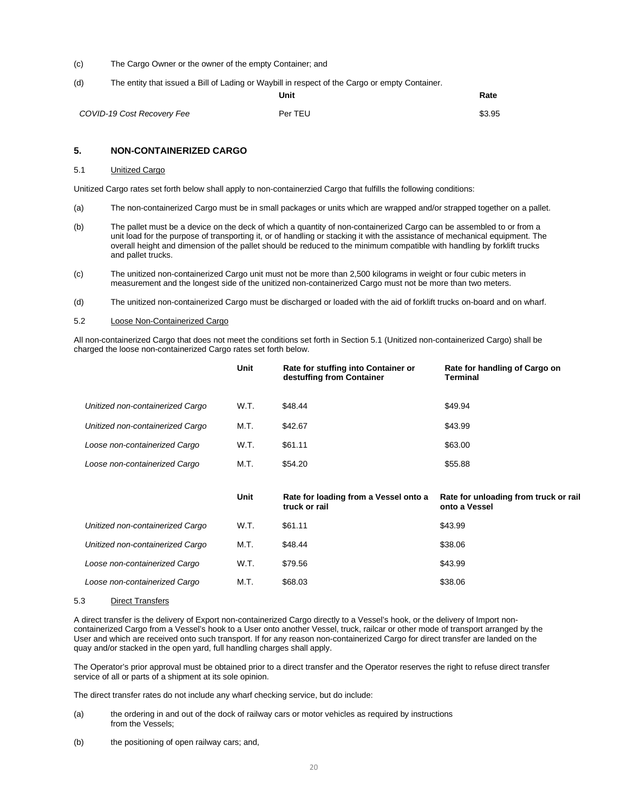- (c) The Cargo Owner or the owner of the empty Container; and
- (d) The entity that issued a Bill of Lading or Waybill in respect of the Cargo or empty Container.

**Unit Rate**

| COVID-19 Cost Recovery Fee | Per TEU | \$3.95 |
|----------------------------|---------|--------|
|                            |         |        |

#### <span id="page-19-0"></span>**5. NON-CONTAINERIZED CARGO**

#### 5.1 Unitized Cargo

Unitized Cargo rates set forth below shall apply to non-containerzied Cargo that fulfills the following conditions:

- (a) The non-containerized Cargo must be in small packages or units which are wrapped and/or strapped together on a pallet.
- (b) The pallet must be a device on the deck of which a quantity of non-containerized Cargo can be assembled to or from a unit load for the purpose of transporting it, or of handling or stacking it with the assistance of mechanical equipment. The overall height and dimension of the pallet should be reduced to the minimum compatible with handling by forklift trucks and pallet trucks.
- (c) The unitized non-containerized Cargo unit must not be more than 2,500 kilograms in weight or four cubic meters in measurement and the longest side of the unitized non-containerized Cargo must not be more than two meters.
- (d) The unitized non-containerized Cargo must be discharged or loaded with the aid of forklift trucks on-board and on wharf.
- 5.2 Loose Non-Containerized Cargo

All non-containerized Cargo that does not meet the conditions set forth in Section 5.1 (Unitized non-containerized Cargo) shall be charged the loose non-containerized Cargo rates set forth below.

|                                  | Unit        | Rate for stuffing into Container or<br>destuffing from Container | Rate for handling of Cargo on<br>Terminal              |
|----------------------------------|-------------|------------------------------------------------------------------|--------------------------------------------------------|
| Unitized non-containerized Cargo | W.T.        | \$48.44                                                          | \$49.94                                                |
| Unitized non-containerized Cargo | M.T.        | \$42.67                                                          | \$43.99                                                |
| Loose non-containerized Cargo    | W.T.        | \$61.11                                                          | \$63.00                                                |
| Loose non-containerized Cargo    | M.T.        | \$54.20                                                          | \$55.88                                                |
|                                  |             |                                                                  |                                                        |
|                                  |             |                                                                  |                                                        |
|                                  | <b>Unit</b> | Rate for loading from a Vessel onto a<br>truck or rail           | Rate for unloading from truck or rail<br>onto a Vessel |
| Unitized non-containerized Cargo | W.T.        | \$61.11                                                          | \$43.99                                                |
| Unitized non-containerized Cargo | M.T.        | \$48.44                                                          | \$38.06                                                |
| Loose non-containerized Cargo    | W.T.        | \$79.56                                                          | \$43.99                                                |
| Loose non-containerized Cargo    | M.T.        | \$68.03                                                          | \$38.06                                                |

#### 5.3 Direct Transfers

A direct transfer is the delivery of Export non-containerized Cargo directly to a Vessel's hook, or the delivery of Import noncontainerized Cargo from a Vessel's hook to a User onto another Vessel, truck, railcar or other mode of transport arranged by the User and which are received onto such transport. If for any reason non-containerized Cargo for direct transfer are landed on the quay and/or stacked in the open yard, full handling charges shall apply.

The Operator's prior approval must be obtained prior to a direct transfer and the Operator reserves the right to refuse direct transfer service of all or parts of a shipment at its sole opinion.

The direct transfer rates do not include any wharf checking service, but do include:

- (a) the ordering in and out of the dock of railway cars or motor vehicles as required by instructions from the Vessels;
- (b) the positioning of open railway cars; and,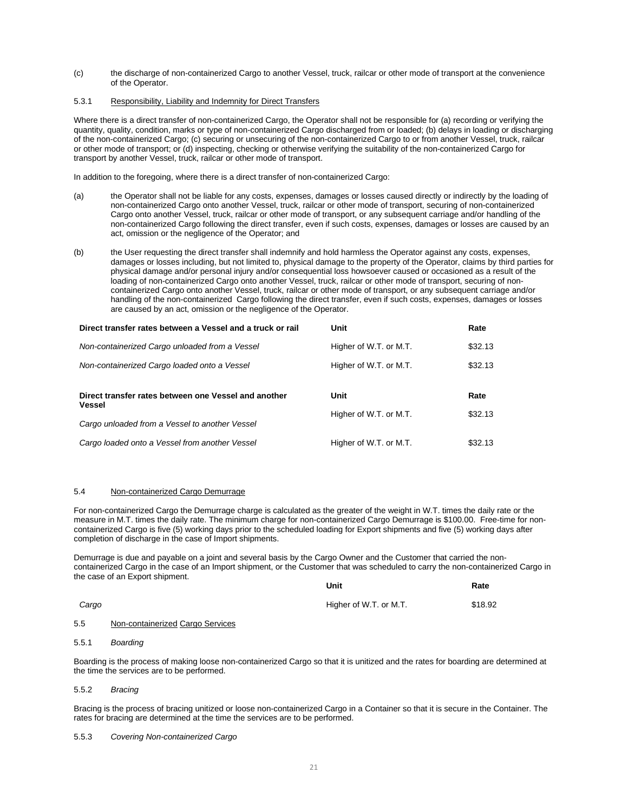(c) the discharge of non-containerized Cargo to another Vessel, truck, railcar or other mode of transport at the convenience of the Operator.

#### 5.3.1 Responsibility, Liability and Indemnity for Direct Transfers

Where there is a direct transfer of non-containerized Cargo, the Operator shall not be responsible for (a) recording or verifying the quantity, quality, condition, marks or type of non-containerized Cargo discharged from or loaded; (b) delays in loading or discharging of the non-containerized Cargo; (c) securing or unsecuring of the non-containerized Cargo to or from another Vessel, truck, railcar or other mode of transport; or (d) inspecting, checking or otherwise verifying the suitability of the non-containerized Cargo for transport by another Vessel, truck, railcar or other mode of transport.

In addition to the foregoing, where there is a direct transfer of non-containerized Cargo:

- (a) the Operator shall not be liable for any costs, expenses, damages or losses caused directly or indirectly by the loading of non-containerized Cargo onto another Vessel, truck, railcar or other mode of transport, securing of non-containerized Cargo onto another Vessel, truck, railcar or other mode of transport, or any subsequent carriage and/or handling of the non-containerized Cargo following the direct transfer, even if such costs, expenses, damages or losses are caused by an act, omission or the negligence of the Operator; and
- (b) the User requesting the direct transfer shall indemnify and hold harmless the Operator against any costs, expenses, damages or losses including, but not limited to, physical damage to the property of the Operator, claims by third parties for physical damage and/or personal injury and/or consequential loss howsoever caused or occasioned as a result of the loading of non-containerized Cargo onto another Vessel, truck, railcar or other mode of transport, securing of noncontainerized Cargo onto another Vessel, truck, railcar or other mode of transport, or any subsequent carriage and/or handling of the non-containerized Cargo following the direct transfer, even if such costs, expenses, damages or losses are caused by an act, omission or the negligence of the Operator.

| Direct transfer rates between a Vessel and a truck or rail     | Unit                   | Rate    |
|----------------------------------------------------------------|------------------------|---------|
| Non-containerized Cargo unloaded from a Vessel                 | Higher of W.T. or M.T. | \$32.13 |
| Non-containerized Cargo loaded onto a Vessel                   | Higher of W.T. or M.T. | \$32.13 |
|                                                                |                        |         |
| Direct transfer rates between one Vessel and another<br>Vessel | Unit                   | Rate    |
| Cargo unloaded from a Vessel to another Vessel                 | Higher of W.T. or M.T. | \$32.13 |

# 5.4 Non-containerized Cargo Demurrage

For non-containerized Cargo the Demurrage charge is calculated as the greater of the weight in W.T. times the daily rate or the measure in M.T. times the daily rate. The minimum charge for non-containerized Cargo Demurrage is \$100.00. Free-time for noncontainerized Cargo is five (5) working days prior to the scheduled loading for Export shipments and five (5) working days after completion of discharge in the case of Import shipments.

Demurrage is due and payable on a joint and several basis by the Cargo Owner and the Customer that carried the noncontainerized Cargo in the case of an Import shipment, or the Customer that was scheduled to carry the non-containerized Cargo in the case of an Export shipment. **Unit Rate**

|       |                                  | unit                   | rate    |
|-------|----------------------------------|------------------------|---------|
| Cargo |                                  | Higher of W.T. or M.T. | \$18.92 |
| 5.5   | Non-containerized Cargo Services |                        |         |

#### 5.5.1 *Boarding*

Boarding is the process of making loose non-containerized Cargo so that it is unitized and the rates for boarding are determined at the time the services are to be performed.

#### 5.5.2 *Bracing*

Bracing is the process of bracing unitized or loose non-containerized Cargo in a Container so that it is secure in the Container. The rates for bracing are determined at the time the services are to be performed.

#### 5.5.3 *Covering Non-containerized Cargo*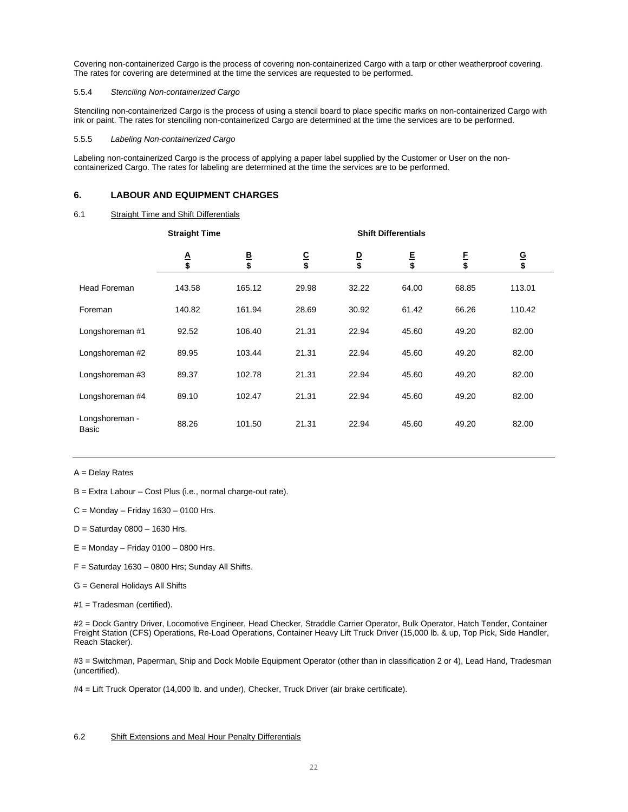Covering non-containerized Cargo is the process of covering non-containerized Cargo with a tarp or other weatherproof covering. The rates for covering are determined at the time the services are requested to be performed.

#### 5.5.4 *Stenciling Non-containerized Cargo*

Stenciling non-containerized Cargo is the process of using a stencil board to place specific marks on non-containerized Cargo with ink or paint. The rates for stenciling non-containerized Cargo are determined at the time the services are to be performed.

#### 5.5.5 *Labeling Non-containerized Cargo*

Labeling non-containerized Cargo is the process of applying a paper label supplied by the Customer or User on the noncontainerized Cargo. The rates for labeling are determined at the time the services are to be performed.

# <span id="page-21-0"></span>**6. LABOUR AND EQUIPMENT CHARGES**

# 6.1 Straight Time and Shift Differentials

|                         | <b>Straight Time</b> |              | <b>Shift Differentials</b> |              |              |              |              |  |
|-------------------------|----------------------|--------------|----------------------------|--------------|--------------|--------------|--------------|--|
|                         | $rac{A}{s}$          | $rac{B}{\$}$ | $rac{C}{\$}$               | $rac{D}{\$}$ | $rac{E}{\$}$ | $rac{F}{\$}$ | $rac{G}{\$}$ |  |
| <b>Head Foreman</b>     | 143.58               | 165.12       | 29.98                      | 32.22        | 64.00        | 68.85        | 113.01       |  |
| Foreman                 | 140.82               | 161.94       | 28.69                      | 30.92        | 61.42        | 66.26        | 110.42       |  |
| Longshoreman #1         | 92.52                | 106.40       | 21.31                      | 22.94        | 45.60        | 49.20        | 82.00        |  |
| Longshoreman #2         | 89.95                | 103.44       | 21.31                      | 22.94        | 45.60        | 49.20        | 82.00        |  |
| Longshoreman #3         | 89.37                | 102.78       | 21.31                      | 22.94        | 45.60        | 49.20        | 82.00        |  |
| Longshoreman #4         | 89.10                | 102.47       | 21.31                      | 22.94        | 45.60        | 49.20        | 82.00        |  |
| Longshoreman -<br>Basic | 88.26                | 101.50       | 21.31                      | 22.94        | 45.60        | 49.20        | 82.00        |  |

A = Delay Rates

B = Extra Labour – Cost Plus (i.e., normal charge-out rate).

- $C =$  Monday Friday 1630 0100 Hrs.
- D = Saturday 0800 1630 Hrs.
- $E =$  Monday Friday 0100 0800 Hrs.
- $F =$  Saturday 1630 0800 Hrs; Sunday All Shifts.
- G = General Holidays All Shifts
- #1 = Tradesman (certified).

#2 = Dock Gantry Driver, Locomotive Engineer, Head Checker, Straddle Carrier Operator, Bulk Operator, Hatch Tender, Container Freight Station (CFS) Operations, Re-Load Operations, Container Heavy Lift Truck Driver (15,000 lb. & up, Top Pick, Side Handler, Reach Stacker).

#3 = Switchman, Paperman, Ship and Dock Mobile Equipment Operator (other than in classification 2 or 4), Lead Hand, Tradesman (uncertified).

#4 = Lift Truck Operator (14,000 lb. and under), Checker, Truck Driver (air brake certificate).

#### 6.2 Shift Extensions and Meal Hour Penalty Differentials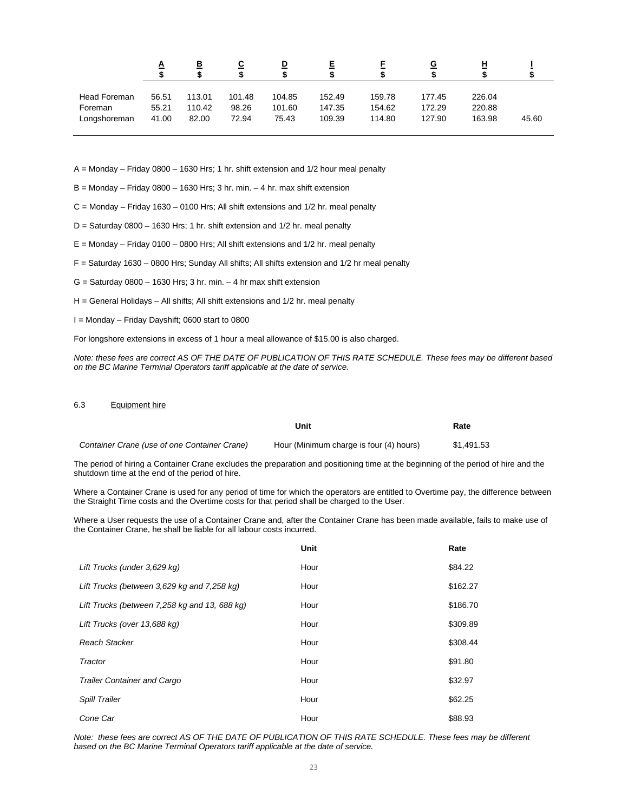|              | A     | <u>B</u> | <u>c</u> | D      | 트      |        | <u>G</u> | 비      |       |
|--------------|-------|----------|----------|--------|--------|--------|----------|--------|-------|
| Head Foreman | 56.51 | 113.01   | 101.48   | 104.85 | 152.49 | 159.78 | 177.45   | 226.04 |       |
| Foreman      | 55.21 | 110.42   | 98.26    | 101.60 | 147.35 | 154.62 | 172.29   | 220.88 |       |
| Longshoreman | 41.00 | 82.00    | 72.94    | 75.43  | 109.39 | 114.80 | 127.90   | 163.98 | 45.60 |

A = Monday – Friday 0800 – 1630 Hrs; 1 hr. shift extension and 1/2 hour meal penalty

 $B =$  Monday – Friday 0800 – 1630 Hrs; 3 hr. min. – 4 hr. max shift extension

C = Monday – Friday 1630 – 0100 Hrs; All shift extensions and 1/2 hr. meal penalty

D = Saturday 0800 – 1630 Hrs; 1 hr. shift extension and 1/2 hr. meal penalty

E = Monday – Friday 0100 – 0800 Hrs; All shift extensions and 1/2 hr. meal penalty

F = Saturday 1630 – 0800 Hrs; Sunday All shifts; All shifts extension and 1/2 hr meal penalty

 $G =$  Saturday 0800 – 1630 Hrs; 3 hr. min. – 4 hr max shift extension

 $H =$  General Holidays – All shifts; All shift extensions and  $1/2$  hr. meal penalty

I = Monday – Friday Dayshift; 0600 start to 0800

For longshore extensions in excess of 1 hour a meal allowance of \$15.00 is also charged.

*Note: these fees are correct AS OF THE DATE OF PUBLICATION OF THIS RATE SCHEDULE. These fees may be different based on the BC Marine Terminal Operators tariff applicable at the date of service.*

#### 6.3 Equipment hire

|                                              | Unit                                    | Rate       |
|----------------------------------------------|-----------------------------------------|------------|
| Container Crane (use of one Container Crane) | Hour (Minimum charge is four (4) hours) | \$1.491.53 |

The period of hiring a Container Crane excludes the preparation and positioning time at the beginning of the period of hire and the shutdown time at the end of the period of hire.

Where a Container Crane is used for any period of time for which the operators are entitled to Overtime pay, the difference between the Straight Time costs and the Overtime costs for that period shall be charged to the User.

Where a User requests the use of a Container Crane and, after the Container Crane has been made available, fails to make use of the Container Crane, he shall be liable for all labour costs incurred.

|                                               | Unit | Rate     |
|-----------------------------------------------|------|----------|
| Lift Trucks (under 3,629 kg)                  | Hour | \$84.22  |
| Lift Trucks (between 3,629 kg and 7,258 kg)   | Hour | \$162.27 |
| Lift Trucks (between 7,258 kg and 13, 688 kg) | Hour | \$186.70 |
| Lift Trucks (over 13,688 kg)                  | Hour | \$309.89 |
| Reach Stacker                                 | Hour | \$308.44 |
| Tractor                                       | Hour | \$91.80  |
| <b>Trailer Container and Cargo</b>            | Hour | \$32.97  |
| <b>Spill Trailer</b>                          | Hour | \$62.25  |
| Cone Car                                      | Hour | \$88.93  |

*Note: these fees are correct AS OF THE DATE OF PUBLICATION OF THIS RATE SCHEDULE. These fees may be different based on the BC Marine Terminal Operators tariff applicable at the date of service.*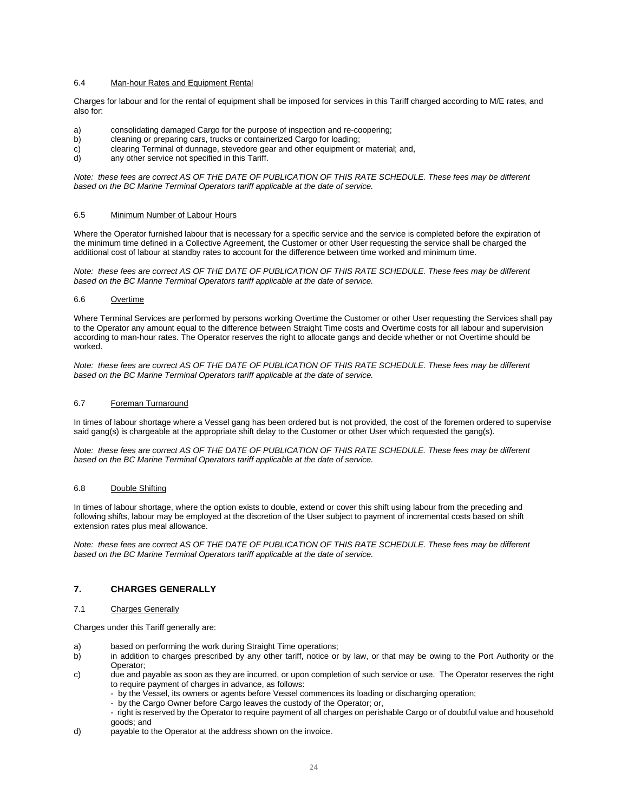# 6.4 Man-hour Rates and Equipment Rental

Charges for labour and for the rental of equipment shall be imposed for services in this Tariff charged according to M/E rates, and also for:

- a) consolidating damaged Cargo for the purpose of inspection and re-coopering;<br>b) cleaning or preparing cars, trucks or containerized Cargo for loading;
- cleaning or preparing cars, trucks or containerized Cargo for loading;
- c) clearing Terminal of dunnage, stevedore gear and other equipment or material; and, d) any other service not specified in this Tariff.
- any other service not specified in this Tariff.

*Note: these fees are correct AS OF THE DATE OF PUBLICATION OF THIS RATE SCHEDULE. These fees may be different based on the BC Marine Terminal Operators tariff applicable at the date of service.*

### 6.5 Minimum Number of Labour Hours

Where the Operator furnished labour that is necessary for a specific service and the service is completed before the expiration of the minimum time defined in a Collective Agreement, the Customer or other User requesting the service shall be charged the additional cost of labour at standby rates to account for the difference between time worked and minimum time.

*Note: these fees are correct AS OF THE DATE OF PUBLICATION OF THIS RATE SCHEDULE. These fees may be different based on the BC Marine Terminal Operators tariff applicable at the date of service.*

#### 6.6 Overtime

Where Terminal Services are performed by persons working Overtime the Customer or other User requesting the Services shall pay to the Operator any amount equal to the difference between Straight Time costs and Overtime costs for all labour and supervision according to man-hour rates. The Operator reserves the right to allocate gangs and decide whether or not Overtime should be worked.

*Note: these fees are correct AS OF THE DATE OF PUBLICATION OF THIS RATE SCHEDULE. These fees may be different based on the BC Marine Terminal Operators tariff applicable at the date of service.*

#### 6.7 Foreman Turnaround

In times of labour shortage where a Vessel gang has been ordered but is not provided, the cost of the foremen ordered to supervise said gang(s) is chargeable at the appropriate shift delay to the Customer or other User which requested the gang(s).

*Note: these fees are correct AS OF THE DATE OF PUBLICATION OF THIS RATE SCHEDULE. These fees may be different based on the BC Marine Terminal Operators tariff applicable at the date of service.*

#### 6.8 Double Shifting

In times of labour shortage, where the option exists to double, extend or cover this shift using labour from the preceding and following shifts, labour may be employed at the discretion of the User subject to payment of incremental costs based on shift extension rates plus meal allowance.

*Note: these fees are correct AS OF THE DATE OF PUBLICATION OF THIS RATE SCHEDULE. These fees may be different based on the BC Marine Terminal Operators tariff applicable at the date of service.*

# <span id="page-23-0"></span>**7. CHARGES GENERALLY**

# 7.1 Charges Generally

Charges under this Tariff generally are:

- a) based on performing the work during Straight Time operations;
- b) in addition to charges prescribed by any other tariff, notice or by law, or that may be owing to the Port Authority or the Operator;
- c) due and payable as soon as they are incurred, or upon completion of such service or use. The Operator reserves the right to require payment of charges in advance, as follows:
	- by the Vessel, its owners or agents before Vessel commences its loading or discharging operation;
	- by the Cargo Owner before Cargo leaves the custody of the Operator; or,
	- right is reserved by the Operator to require payment of all charges on perishable Cargo or of doubtful value and household goods; and
- d) payable to the Operator at the address shown on the invoice.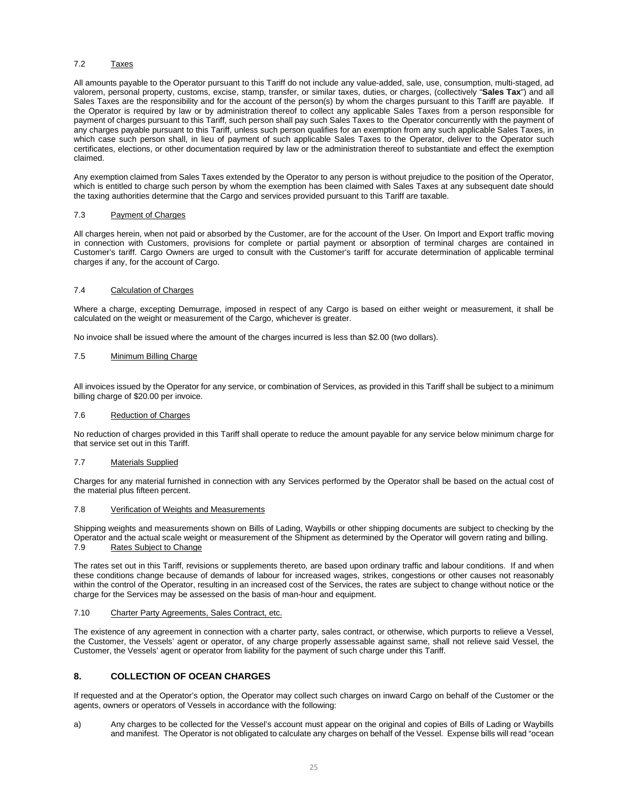#### 7.2 Taxes

All amounts payable to the Operator pursuant to this Tariff do not include any value-added, sale, use, consumption, multi-staged, ad valorem, personal property, customs, excise, stamp, transfer, or similar taxes, duties, or charges, (collectively "**Sales Tax**") and all Sales Taxes are the responsibility and for the account of the person(s) by whom the charges pursuant to this Tariff are payable. If the Operator is required by law or by administration thereof to collect any applicable Sales Taxes from a person responsible for payment of charges pursuant to this Tariff, such person shall pay such Sales Taxes to the Operator concurrently with the payment of any charges payable pursuant to this Tariff, unless such person qualifies for an exemption from any such applicable Sales Taxes, in which case such person shall, in lieu of payment of such applicable Sales Taxes to the Operator, deliver to the Operator such certificates, elections, or other documentation required by law or the administration thereof to substantiate and effect the exemption claimed.

Any exemption claimed from Sales Taxes extended by the Operator to any person is without prejudice to the position of the Operator, which is entitled to charge such person by whom the exemption has been claimed with Sales Taxes at any subsequent date should the taxing authorities determine that the Cargo and services provided pursuant to this Tariff are taxable.

### 7.3 Payment of Charges

All charges herein, when not paid or absorbed by the Customer, are for the account of the User. On Import and Export traffic moving in connection with Customers, provisions for complete or partial payment or absorption of terminal charges are contained in Customer's tariff. Cargo Owners are urged to consult with the Customer's tariff for accurate determination of applicable terminal charges if any, for the account of Cargo.

#### 7.4 Calculation of Charges

Where a charge, excepting Demurrage, imposed in respect of any Cargo is based on either weight or measurement, it shall be calculated on the weight or measurement of the Cargo, whichever is greater.

No invoice shall be issued where the amount of the charges incurred is less than \$2.00 (two dollars).

### 7.5 Minimum Billing Charge

All invoices issued by the Operator for any service, or combination of Services, as provided in this Tariff shall be subject to a minimum billing charge of \$20.00 per invoice.

#### 7.6 Reduction of Charges

No reduction of charges provided in this Tariff shall operate to reduce the amount payable for any service below minimum charge for that service set out in this Tariff.

#### 7.7 Materials Supplied

Charges for any material furnished in connection with any Services performed by the Operator shall be based on the actual cost of the material plus fifteen percent.

#### 7.8 Verification of Weights and Measurements

Shipping weights and measurements shown on Bills of Lading, Waybills or other shipping documents are subject to checking by the Operator and the actual scale weight or measurement of the Shipment as determined by the Operator will govern rating and billing.<br>7.9. Bates Subject to Change Rates Subject to Change

The rates set out in this Tariff, revisions or supplements thereto, are based upon ordinary traffic and labour conditions. If and when these conditions change because of demands of labour for increased wages, strikes, congestions or other causes not reasonably within the control of the Operator, resulting in an increased cost of the Services, the rates are subject to change without notice or the charge for the Services may be assessed on the basis of man-hour and equipment.

# 7.10 Charter Party Agreements, Sales Contract, etc.

The existence of any agreement in connection with a charter party, sales contract, or otherwise, which purports to relieve a Vessel, the Customer, the Vessels' agent or operator, of any charge properly assessable against same, shall not relieve said Vessel, the Customer, the Vessels' agent or operator from liability for the payment of such charge under this Tariff.

# <span id="page-24-0"></span>**8. COLLECTION OF OCEAN CHARGES**

If requested and at the Operator's option, the Operator may collect such charges on inward Cargo on behalf of the Customer or the agents, owners or operators of Vessels in accordance with the following:

a) Any charges to be collected for the Vessel's account must appear on the original and copies of Bills of Lading or Waybills and manifest. The Operator is not obligated to calculate any charges on behalf of the Vessel. Expense bills will read "ocean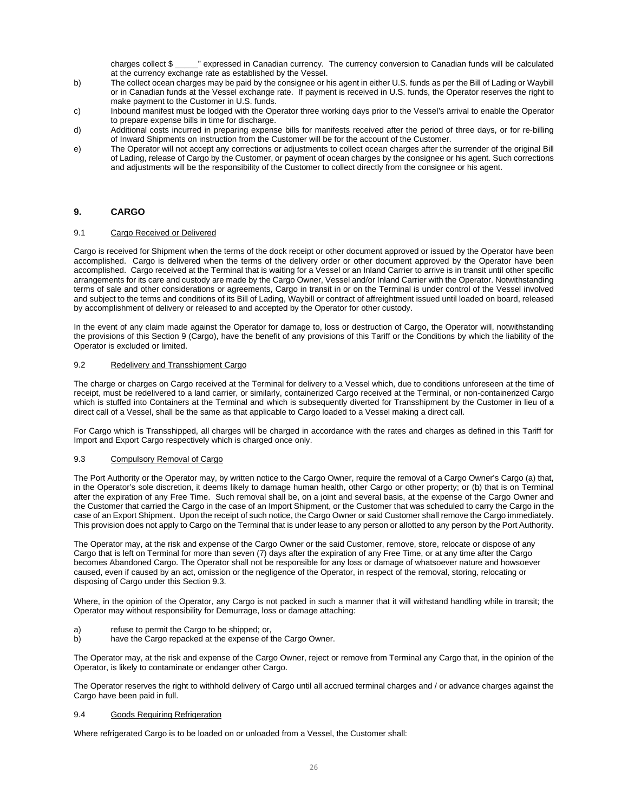charges collect \$ \_\_\_\_\_" expressed in Canadian currency. The currency conversion to Canadian funds will be calculated at the currency exchange rate as established by the Vessel.

- b) The collect ocean charges may be paid by the consignee or his agent in either U.S. funds as per the Bill of Lading or Waybill or in Canadian funds at the Vessel exchange rate. If payment is received in U.S. funds, the Operator reserves the right to make payment to the Customer in U.S. funds.
- c) Inbound manifest must be lodged with the Operator three working days prior to the Vessel's arrival to enable the Operator to prepare expense bills in time for discharge.
- d) Additional costs incurred in preparing expense bills for manifests received after the period of three days, or for re-billing of Inward Shipments on instruction from the Customer will be for the account of the Customer.
- e) The Operator will not accept any corrections or adjustments to collect ocean charges after the surrender of the original Bill of Lading, release of Cargo by the Customer, or payment of ocean charges by the consignee or his agent. Such corrections and adjustments will be the responsibility of the Customer to collect directly from the consignee or his agent.

# <span id="page-25-0"></span>**9. CARGO**

#### 9.1 Cargo Received or Delivered

Cargo is received for Shipment when the terms of the dock receipt or other document approved or issued by the Operator have been accomplished. Cargo is delivered when the terms of the delivery order or other document approved by the Operator have been accomplished. Cargo received at the Terminal that is waiting for a Vessel or an Inland Carrier to arrive is in transit until other specific arrangements for its care and custody are made by the Cargo Owner, Vessel and/or Inland Carrier with the Operator. Notwithstanding terms of sale and other considerations or agreements, Cargo in transit in or on the Terminal is under control of the Vessel involved and subject to the terms and conditions of its Bill of Lading, Waybill or contract of affreightment issued until loaded on board, released by accomplishment of delivery or released to and accepted by the Operator for other custody.

In the event of any claim made against the Operator for damage to, loss or destruction of Cargo, the Operator will, notwithstanding the provisions of this Section 9 (Cargo), have the benefit of any provisions of this Tariff or the Conditions by which the liability of the Operator is excluded or limited.

#### 9.2 Redelivery and Transshipment Cargo

The charge or charges on Cargo received at the Terminal for delivery to a Vessel which, due to conditions unforeseen at the time of receipt, must be redelivered to a land carrier, or similarly, containerized Cargo received at the Terminal, or non-containerized Cargo which is stuffed into Containers at the Terminal and which is subsequently diverted for Transshipment by the Customer in lieu of a direct call of a Vessel, shall be the same as that applicable to Cargo loaded to a Vessel making a direct call.

For Cargo which is Transshipped, all charges will be charged in accordance with the rates and charges as defined in this Tariff for Import and Export Cargo respectively which is charged once only.

#### 9.3 Compulsory Removal of Cargo

The Port Authority or the Operator may, by written notice to the Cargo Owner, require the removal of a Cargo Owner's Cargo (a) that, in the Operator's sole discretion, it deems likely to damage human health, other Cargo or other property; or (b) that is on Terminal after the expiration of any Free Time. Such removal shall be, on a joint and several basis, at the expense of the Cargo Owner and the Customer that carried the Cargo in the case of an Import Shipment, or the Customer that was scheduled to carry the Cargo in the case of an Export Shipment. Upon the receipt of such notice, the Cargo Owner or said Customer shall remove the Cargo immediately. This provision does not apply to Cargo on the Terminal that is under lease to any person or allotted to any person by the Port Authority.

The Operator may, at the risk and expense of the Cargo Owner or the said Customer, remove, store, relocate or dispose of any Cargo that is left on Terminal for more than seven (7) days after the expiration of any Free Time, or at any time after the Cargo becomes Abandoned Cargo. The Operator shall not be responsible for any loss or damage of whatsoever nature and howsoever caused, even if caused by an act, omission or the negligence of the Operator, in respect of the removal, storing, relocating or disposing of Cargo under this Section 9.3.

Where, in the opinion of the Operator, any Cargo is not packed in such a manner that it will withstand handling while in transit; the Operator may without responsibility for Demurrage, loss or damage attaching:

- a) refuse to permit the Cargo to be shipped; or,<br>b) have the Cargo repacked at the expense of t
- have the Cargo repacked at the expense of the Cargo Owner.

The Operator may, at the risk and expense of the Cargo Owner, reject or remove from Terminal any Cargo that, in the opinion of the Operator, is likely to contaminate or endanger other Cargo.

The Operator reserves the right to withhold delivery of Cargo until all accrued terminal charges and / or advance charges against the Cargo have been paid in full.

#### 9.4 Goods Requiring Refrigeration

Where refrigerated Cargo is to be loaded on or unloaded from a Vessel, the Customer shall: